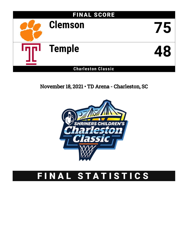

November 18, 2021 • TD Arena - Charleston, SC



# FINAL STATISTICS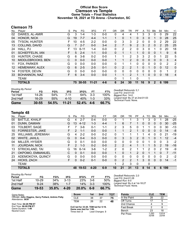# **Official Box Score Clemson vs Temple Game Totals -- Final Statistics November 18, 2021 at TD Arena - Charleston, SC**



# **Clemson 75**

| No. | Player                  | S | <b>Pts</b> | FG       | 3FG       | FT      | 0R             | DR.      | TR             | PF             | A  | TO           | <b>B</b> lk  | Stl      | Min            | $+/-$ |
|-----|-------------------------|---|------------|----------|-----------|---------|----------------|----------|----------------|----------------|----|--------------|--------------|----------|----------------|-------|
| 02  | DAWES, AL-AMIR          | G | 3          | $1 - 4$  | $1 - 3$   | $0-0$   | 0              | 4        | 4              |                | 3  | 3            | $\Omega$     | 0        | 29             | 22    |
| 04  | HONOR, NICK             | G | 19         | $7 - 7$  | $4 - 4$   | $1 - 1$ |                | 0        | 1              | $\mathbf{0}$   | 3  | 0            |              | 0        | 28             | 25    |
| 05  | <b>TYSON, HUNTER</b>    | F | 10         | $4 - 5$  | $2 - 2$   | $0 - 0$ | 0              | 3        | 3              | 2              | 0  | 0            | 0            | 2        | 29             | 22    |
| 13  | COLLINS, DAVID          | G |            | $2 - 7$  | $0 - 0$   | $3 - 4$ | $\overline{2}$ | 7        | 9              | $\overline{2}$ | 3  | 2            | $\Omega$     | 2        | 25             | 25    |
| 24  | HALL, PJ                | F | 13         | $6 - 11$ | $1 - 4$   | $0-0$   | 0              | 2        | $\overline{2}$ | 0              | 3  | 0            |              | 0        | 20             | 18    |
| 01  | <b>SCHIEFFELIN, IAN</b> | F | 5          | $2 - 4$  | $1 - 1$   | $0 - 0$ | 0              | 1        | 1              | 1              | 0  | $\Omega$     | 0            | 1        | 9              | 6     |
| 03  | HUNTER, CHASE           | G | 6          | $3 - 8$  | $0 - 2$   | $0-0$   |                |          | 2              | 3              | 3  | 2            | 0            |          | 22             | 5     |
| 10  | MIDDLEBROOKS, BEN       | C | $\Omega$   | $0 - 0$  | $0 - 0$   | $0 - 0$ | 1              | 1        | $\overline{2}$ | $\Omega$       | 0  | 0            | 0            | $\Omega$ | 3              | 4     |
| 11  | FOX, PARKER             | G | 0          | $0 - 0$  | $0 - 0$   | $0-0$   | 0              | 1        | 1              | 0              | 0  | $\mathbf{0}$ | 0            | 0        | $\overline{2}$ | 2     |
| 12  | <b>HEMENWAY, ALEX</b>   | G | 6          | $2 - 5$  | $2 - 5$   | $0 - 1$ | 0              | 2        | 2              | 1              | 0  | 1            | $\Omega$     | $\Omega$ | 12             | 0     |
| 14  | <b>FOSTER, DEVIN</b>    | G | $\Omega$   | $0 - 0$  | $0 - 0$   | $0-0$   | 0              | $\Omega$ | $\Omega$       | 0              | 0  | $\Omega$     | 0            | 0        | 1              | 2     |
| 33  | <b>BOHANNON, NAZ</b>    | F | 6          | $3 - 4$  | $0 - 0$   | $0 - 0$ | $\mathbf 1$    | 1        | $\overline{2}$ |                |    | $\Omega$     | 0            | $\Omega$ | 18             | 4     |
|     | TEAM                    |   |            |          |           |         | 0              | ٠        |                | $\Omega$       |    | 1            |              |          |                |       |
|     | <b>TOTALS</b>           |   |            | 75 30-55 | $11 - 21$ | $4 - 6$ | 6              | 24       | 30             | 11             | 16 | 9            | $\mathbf{2}$ | 6        | 199            |       |
|     |                         |   |            |          |           |         |                |          |                |                |    |              |              |          |                |       |

| <b>Shooting By Period</b><br>Period | FG        | FG%   | 3FG       | 3FG%  | FТ      | FT%   |
|-------------------------------------|-----------|-------|-----------|-------|---------|-------|
| 1st Half                            | 14-26     | 54%   | 7-11      | 64%   | $3-3$   | 100%  |
| 2nd Half                            | $16-29$   | 55%   | $4 - 10$  | 40%   | $1 - 3$ | 33%   |
| Game                                | $30 - 55$ | 54.5% | $11 - 21$ | 52.4% | 4-6     | 66.7% |

*Deadball Rebounds:* 0,1 *Last FG:* 2nd-01:03 *Biggest Run:* 14-0 *Largest lead:* By 27 at 2nd-01:03 *Technical Fouls:* None.

# **Temple 48**

| No. | Player                    | S  | Pts           | FG       | 3FG      | FТ      | OR             | DR             | TR             | PF            | А | TO       | <b>B</b> lk | Stl      | Min | $+/-$ |
|-----|---------------------------|----|---------------|----------|----------|---------|----------------|----------------|----------------|---------------|---|----------|-------------|----------|-----|-------|
| 00  | <b>BATTLE, KHALIF</b>     | G  | 4             | 2-7      | $0 - 4$  | $0 - 0$ | 0              |                |                | 3             |   | 3        | 0           |          | 28  | $-25$ |
| 01  | DUNN, DAMIAN              | G  | 13            | $4 - 12$ | $1 - 3$  | $4 - 4$ | 1              | 6              |                |               | 0 | 0        | 0           | 0        | 30  | $-25$ |
| 03  | TOLBERT, SAGE             | F  |               | $3-6$    | $0 - 1$  | $1 - 1$ | $\overline{2}$ | 3              | 5              | 0             |   |          | 0           | 0        | 30  | -13   |
| 10  | <b>FORRESTER, JAKE</b>    | F. | 2             | $1 - 1$  | $0 - 0$  | $0 - 0$ |                |                | $\overline{2}$ |               | 0 | $\Omega$ | $\Omega$    | $\Omega$ | 14  | -8    |
| 25  | <b>WILLIAMS, JEREMIAH</b> | G  | 4             | $2 - 2$  | $0 - 0$  | $0 - 2$ | $\Omega$       |                |                |               |   | 4        | 0           | 0        | 21  | $-19$ |
| 02  | <b>WHITE, JAHLIL</b>      | G  | 0             | $0 - 4$  | $0 - 3$  | $0 - 0$ | $\Omega$       | 3              | 3              | $\mathcal{P}$ | 0 |          | 0           |          | 12  | $-4$  |
| 04  | <b>MILLER, HYSIER</b>     | G  | 0             | $0 - 1$  | $0 - 0$  | $0 - 0$ | 0              | 0              | 0              | 0             | 0 | 1        | 0           | 0        | 3   | $-2$  |
| 11  | <b>JOURDAIN, NICK</b>     | F  | $\mathcal{P}$ | $1 - 3$  | $0 - 2$  | $0 - 0$ | $\overline{2}$ | $\overline{2}$ | 4              |               |   |          | 5           | 2        | 19  | $-16$ |
| 13  | STRICKLAND, TAI           | G  | 16            | $6 - 14$ | $3-6$    | $1 - 2$ | 2              | 0              | 2              |               |   | 2        | 0           | 2        | 19  | -9    |
| 21  | OKPOMO, EMMANUEL          | C  | 0             | $0 - 1$  | $0 - 0$  | $0 - 0$ |                | 0              |                | $\mathcal{P}$ | 0 |          |             | 0        | 7   | $-11$ |
| 23  | ADEMOKOYA, QUINCY         | G  | 0             | $0 - 0$  | $0 - 0$  | $0 - 0$ | $\Omega$       | $\Omega$       | $\Omega$       | 0             | 0 | 0        | 0           | $\Omega$ | 2   | $-2$  |
| 24  | HICKS, ZACH               | F  | 0             | $0 - 2$  | $0 - 1$  | $0 - 0$ | $\Omega$       | 2              | $\overline{2}$ |               | 3 | $\Omega$ | 0           | $\Omega$ | 14  | $-1$  |
|     | TEAM                      |    |               |          |          |         |                | 2              | 3              | $\Omega$      |   | $\Omega$ |             |          |     |       |
|     | <b>TOTALS</b>             |    | 48            | 19-53    | $4 - 20$ | $6-9$   | 10             | 21             | 31             | 13            | 8 | 14       | 6           | 6        | 199 |       |

| Game                                | 19-53    | 35.8% | 4-20   | 20.0%      | $6-9$ | 66.7% |
|-------------------------------------|----------|-------|--------|------------|-------|-------|
| 2nd Half                            | $9 - 24$ | 38%   | 1-7    | 14%        | $3-3$ | 100%  |
| 1st Half                            | 10-29    | 34%   | $3-13$ | <b>23%</b> | $3-6$ | 50%   |
| <b>Shooting By Period</b><br>Period | FG       | FG%   | 3FG    | 3FG%       | FТ    | FT%   |

*Deadball Rebounds:* 2,0 *Last FG:* 2nd-01:28 *Biggest Run:* 6-0 *Largest lead:* By 4 at 1st-18:27 *Technical Fouls:* None.

| Game Notes:                                                               | <b>Score</b>                             | 1st | 2 <sub>nd</sub> | тот | <b>Points</b>     | <b>CLE</b>     | TEM            |
|---------------------------------------------------------------------------|------------------------------------------|-----|-----------------|-----|-------------------|----------------|----------------|
| Officials: John Higgins, Gerry Pollard, Antinio Petty<br>Attendance: 3639 | <b>CLE</b>                               | 38  | 37              | 75  | In the Paint      | 28             | 22             |
|                                                                           | TEM                                      | 26  | 22              | 48  | Off Turns         |                |                |
| Start Time: 04:29 PM ET                                                   |                                          |     |                 |     | 2nd Chance        |                |                |
| End Time: 06:09 PM ET<br>Game Duration: 1:40                              | CLE led for 33:20. TEM led for 5:19.     |     |                 |     | <b>Fast Break</b> |                |                |
| Neutral Court:                                                            | Game was tied for 1:06.<br>Times tied: 2 |     | Lead Changes: 3 |     | Bench             | 23             | 18             |
|                                                                           |                                          |     |                 |     | Per Poss          | 1.293<br>32/58 | 0.814<br>22/59 |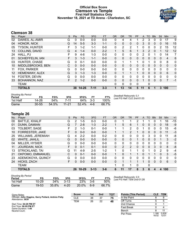## **Official Box Score Clemson vs Temple First Half Statistics Only November 18, 2021 at TD Arena - Charleston, SC**



# **Clemson 38**

| No. | Plaver                  | S | <b>Pts</b>     | <b>FG</b> | 3FG      | <b>FT</b> | <b>OR</b> | <b>DR</b> | TR           | <b>PF</b> | A  | TO       | <b>B</b> lk | Stl         | <b>Min</b>  | $+/-$ |
|-----|-------------------------|---|----------------|-----------|----------|-----------|-----------|-----------|--------------|-----------|----|----------|-------------|-------------|-------------|-------|
| 02  | DAWES, AL-AMIR          | G | 0              | $0 - 0$   | $0 - 0$  | $0 - 0$   | 0         | 4         | 4            |           | 2  | 3        | 0           | 0           | 17          | 9     |
| 04  | HONOR, NICK             | G | 14             | $5 - 5$   | $3 - 3$  | $1 - 1$   | 0         | 0         | $\Omega$     | 0         | 3  | 0        | 0           | 0           | 16          | 15    |
| 05  | TYSON, HUNTER           | F | 3              | $1 - 2$   | $1 - 1$  | $0-0$     | 0         | 2         | 2            |           | 0  | 0        | 0           | 2           | 15          | 12    |
| 13  | COLLINS, DAVID          | G | 4              | $1 - 4$   | $0 - 0$  | $2 - 2$   |           | 5         | 6            |           | 3  | 2        | 0           |             | 12          | 12    |
| 24  | HALL, PJ                | F | 9              | $4-6$     | $1 - 3$  | $0 - 0$   | 0         | 0         | 0            | $\Omega$  | 2  | 0        |             | 0           | 14          | 7     |
| 01  | <b>SCHIEFFELIN, IAN</b> | F | 3              | $1 - 3$   | $1 - 1$  | $0 - 0$   | 0         | 0         | $\mathbf{0}$ | 0         | 0  | 0        | $\Omega$    | 0           | 4           | 6     |
| 03  | HUNTER, CHASE           | G | 0              | $0 - 1$   | $0 - 0$  | $0 - 0$   | 0         | 1         | 1            | 1         | 0  | 1        | 0           | $\mathbf 0$ | 8           | 0     |
| 10  | MIDDLEBROOKS, BEN       | С | 0              | $0 - 0$   | $0 - 0$  | $0 - 0$   | 0         | 0         | $\mathbf{0}$ | $\Omega$  | 0  | $\Omega$ | 0           | 0           | $\Omega$    | 0     |
| 11  | FOX, PARKER             | G | 0              | $0 - 0$   | $0 - 0$  | $0-0$     | 0         | $\Omega$  | $\mathbf{0}$ | $\Omega$  | 0  | $\Omega$ | 0           | $\Omega$    | $\mathbf 0$ | 0     |
| 12  | <b>HEMENWAY, ALEX</b>   | G | 3              | $1 - 3$   | $1 - 3$  | $0 - 0$   | 0         | 1         |              |           | 0  | $\Omega$ | 0           | 0           | 6           | 0     |
| 14  | FOSTER, DEVIN           | G | 0              | $0 - 0$   | $0 - 0$  | $0 - 0$   | 0         | $\Omega$  | 0            | $\Omega$  | 0  | $\Omega$ | 0           | 0           | 0           | 0     |
| 33  | <b>BOHANNON, NAZ</b>    | F | $\overline{2}$ | $1 - 2$   | $0 - 0$  | $0 - 0$   | 0         | 0         | $\Omega$     | $\Omega$  |    | $\Omega$ | 0           | $\Omega$    |             | $-1$  |
|     | <b>TEAM</b>             |   |                |           |          |           | 0         | $\Omega$  | 0            | $\Omega$  |    | $\Omega$ |             |             |             |       |
|     | <b>TOTALS</b>           |   | 38             | $14 - 26$ | $7 - 11$ | $3 - 3$   |           | 13        | 14           | 5         | 11 | 6        |             | 3           | 100         |       |

| <b>Shooting By Period</b><br>Period | FG        | FG%   | 3FG       | 3FG%  |         | FT%   | Deadball Rebounds: 0.1<br>Last FG Half: CLE 2nd-01:03 |
|-------------------------------------|-----------|-------|-----------|-------|---------|-------|-------------------------------------------------------|
| 1st Half                            | 14-26     | 54%   | 7-11      | 64%   | $3 - 3$ | 100%  |                                                       |
| Game                                | $30 - 55$ | 54.5% | $11 - 21$ | 52.4% | $4-6$   | 66.7% |                                                       |

# **Temple 26**

| No. | Player                    | S | <b>Pts</b> | <b>FG</b> | 3FG      | <b>FT</b> | <b>OR</b>    | D <sub>R</sub> | TR           | <b>PF</b> | A        | TO | <b>Blk</b>   | Stl          | Min | $+/-$       |
|-----|---------------------------|---|------------|-----------|----------|-----------|--------------|----------------|--------------|-----------|----------|----|--------------|--------------|-----|-------------|
| 00  | <b>BATTLE, KHALIF</b>     | G | 2          | $1 - 5$   | $0 - 3$  | $0 - 0$   | 0            |                |              | 2         |          |    | 0            |              | 16  | $-15$       |
| 01  | DUNN, DAMIAN              | G | 7          | $2 - 8$   | $1 - 3$  | $2 - 2$   | 1            | 5              | 6            |           | 0        | 0  | $\mathbf{0}$ | 0            | 18  | -9          |
| 03  | <b>TOLBERT, SAGE</b>      | F | 2          | $1 - 3$   | $0 - 1$  | $0 - 0$   | 1            |                | 2            | 0         | 1        | 0  | 0            | 0            | 15  | -6          |
| 10  | <b>FORRESTER, JAKE</b>    | F | 0          | $0 - 0$   | $0 - 0$  | $0 - 0$   |              |                | 2            |           | 0        | 0  | $\Omega$     | 0            | 11  | $-3$        |
| 25  | <b>WILLIAMS, JEREMIAH</b> | G | 4          | $2 - 2$   | $0 - 0$  | $0 - 2$   | 0            | 0              | $\Omega$     | 0         | 0        | 3  | $\mathbf{0}$ | $\Omega$     | 11  | -8          |
| 02  | <b>WHITE, JAHLIL</b>      | G | 0          | $0 - 0$   | $0 - 0$  | $0 - 0$   | $\Omega$     | $\Omega$       | $\Omega$     |           | $\Omega$ | 0  | $\mathbf{0}$ |              | 3   | $-2$        |
| 04  | <b>MILLER, HYSIER</b>     | G | 0          | $0 - 0$   | $0 - 0$  | $0 - 0$   | 0            | 0              | $\mathbf{0}$ | 0         | 0        | 0  | 0            | 0            | 0   | 0           |
| 11  | <b>JOURDAIN, NICK</b>     | F | 0          | $0 - 1$   | $0 - 1$  | $0 - 0$   | $\mathbf{0}$ | $\overline{2}$ | 2            | 0         | $\Omega$ | 0  | 3            | $\mathbf{0}$ | 8   | -8          |
| 13  | STRICKLAND, TAI           | G | 11         | $4 - 9$   | $2 - 5$  | $1 - 2$   | 1            | 0              |              |           | 0        | 1  | $\Omega$     | 2            | 9   | $-4$        |
| 21  | OKPOMO, EMMANUEL          | C | 0          | $0 - 1$   | $0 - 0$  | $0 - 0$   |              | 0              |              |           | 0        |    |              | 0            | 3   | $-5$        |
| 23  | ADEMOKOYA, QUINCY         | G | 0          | $0 - 0$   | $0 - 0$  | $0 - 0$   | 0            | 0              | $\Omega$     | 0         | 0        | 0  | 0            | 0            | 0   | 0           |
| 24  | HICKS, ZACH               | F | 0          | $0 - 0$   | $0 - 0$  | $0 - 0$   | $\Omega$     |                |              |           | 1        | 0  | $\Omega$     | $\Omega$     | 6   | $\mathbf 0$ |
|     | <b>TEAM</b>               |   |            |           |          |           |              | 0              |              | $\Omega$  |          | 0  |              |              |     |             |
|     | <b>TOTALS</b>             |   | 26.        | $10 - 29$ | $3 - 13$ | $3 - 6$   | 6            | 11             | 17           | 8         | 3        | 6  | 4            | 4            | 100 |             |
|     |                           |   |            |           |          |           |              |                |              |           |          |    |              |              |     |             |

| <b>Shooting By Period</b><br>Period | FG        | FG%   | 3FG      | 3FG%  | FT    | FT%   | Deadball Rebounds: 2,0<br>Last FG Half: TEM 2nd-01:28 |
|-------------------------------------|-----------|-------|----------|-------|-------|-------|-------------------------------------------------------|
| 1st Half                            | $10 - 29$ | 34%   | $3-13$   | 23%   | $3-6$ | 50%   |                                                       |
| Game                                | 19-53     | 35.8% | $4 - 20$ | 20.0% | 6-9   | 66.7% |                                                       |

Game Notes: Officials: **John Higgins, Gerry Pollard, Antinio Petty** Attendance: **3639** Start Time: **04:29 PM ET** End Time: **06:09 PM ET** Game Duration: **1:40** Neutral Court; **Score 1st 2nd TOT** CLE 38 37 **75** TEM 26 22 **48 Points (This Period) CLE TEM** In the Paint 8 8 Off Turns 5 5 5 2nd Chance 0 1 Fast Break 0 4 Bench 8 11 Per Poss 1.188<br>16/32 0.839 12/31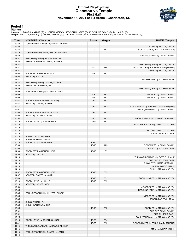### **Official Play-By-Play Clemson vs Temple First Half November 18, 2021 at TD Arena - Charleston, SC**



### **Period 1**

<mark>Starters:</mark><br>Clemson: 2 DAWES,AL-AMIR (G); 4 HONOR,NICK (G); 5 TYSON,HUNTER (F); 13 COLLINS,DAVID (G); 24 HALL,PJ (F);<br>Temple: 0 BATTLE,KHALIF (G); 1 DUNN,DAMIAN (G); 3 TOLBERT,SAGE (F); 10 FORRESTER,JAKE (F); 25 WILLIAMS,J

| <b>Time</b>    | <b>VISITORS: Clemson</b>                                         | <b>Score</b> | <b>Margin</b>  | <b>HOME: Temple</b>                                           |
|----------------|------------------------------------------------------------------|--------------|----------------|---------------------------------------------------------------|
| 19:50          | TURNOVER (BADPASS) by DAWES, AL-AMIR                             |              |                |                                                               |
| 19:50          |                                                                  |              |                | STEAL by BATTLE, KHALIF                                       |
| 19:45          |                                                                  | $2 - 0$      | H <sub>2</sub> | GOOD! DUNK by BATTLE, KHALIF [FB]                             |
| 19:19          | TURNOVER (LOSTBALL) by COLLINS, DAVID                            |              |                |                                                               |
| 18:59          |                                                                  |              |                | MISSED JUMPER by DUNN, DAMIAN                                 |
| 18:57<br>18:33 | REBOUND (DEF) by TYSON, HUNTER<br>MISSED JUMPER by TYSON, HUNTER |              |                |                                                               |
| 18:31          |                                                                  |              |                | REBOUND (DEF) by BATTLE, KHALIF                               |
| 18:27          |                                                                  | $4 - 0$      | H 4            | GOOD! LAYUP by TOLBERT, SAGE [FB/PNT]                         |
| 18:27          |                                                                  |              |                | ASSIST by BATTLE, KHALIF                                      |
| 18:08          | GOOD! 3PTR by HONOR, NICK                                        | $4 - 3$      | H <sub>1</sub> |                                                               |
| 18:08          | ASSIST by HALL, PJ                                               |              |                |                                                               |
| 17:47          |                                                                  |              |                | MISSED 3PTR by TOLBERT, SAGE                                  |
| 17:44          | REBOUND (DEF) by DAWES, AL-AMIR                                  |              |                |                                                               |
| 17:33          | MISSED 3PTR by HALL, PJ                                          |              |                |                                                               |
| 17:29          |                                                                  |              |                | REBOUND (DEF) by TOLBERT, SAGE                                |
| 17:09          | FOUL (PERSONAL) by COLLINS, DAVID                                |              |                |                                                               |
| 17:09          |                                                                  | $5-3$        | H <sub>2</sub> | GOOD! FT by DUNN, DAMIAN                                      |
| 17:09          |                                                                  | $6 - 3$      | $H_3$          | GOOD! FT by DUNN, DAMIAN                                      |
| 16:41          | GOOD! JUMPER by HALL, PJ [PNT]                                   | $6-5$        | H <sub>1</sub> |                                                               |
| 16:41          | ASSIST by DAWES, AL-AMIR                                         |              |                |                                                               |
| 16:22          |                                                                  | $8 - 5$      | $H_3$          | GOOD! JUMPER by WILLIAMS, JEREMIAH [PNT]                      |
| 16:07<br>16:00 | GOOD! JUMPER by HONOR, NICK                                      | $8 - 7$      | H <sub>1</sub> | FOUL (PERSONAL) by DUNN, DAMIAN                               |
| 16:00          | ASSIST by COLLINS, DAVID                                         |              |                |                                                               |
| 15:34          |                                                                  | $10-7$       | $H_3$          | GOOD! JUMPER by WILLIAMS, JEREMIAH                            |
| 15:19          | GOOD! LAYUP by HONOR, NICK                                       | $10-9$       | H <sub>1</sub> |                                                               |
| 15:19          |                                                                  |              |                | FOUL (PERSONAL) by FORRESTER, JAKE                            |
| 15:19          |                                                                  |              |                |                                                               |
| 15:19          |                                                                  |              |                | SUB OUT: FORRESTER, JAKE                                      |
| 15:19          |                                                                  |              |                | SUB IN: JOURDAIN, NICK                                        |
| 15:19          | SUB OUT: COLLINS, DAVID                                          |              |                |                                                               |
| 15:19          | SUB IN: HUNTER, CHASE                                            |              |                |                                                               |
| 15:19          | GOOD! FT by HONOR, NICK                                          | $10-10$      | $\mathsf{T}$   |                                                               |
| 15:00          |                                                                  | $13 - 10$    | $H_3$          | GOOD! 3PTR by DUNN, DAMIAN                                    |
| 15:00          |                                                                  |              |                | ASSIST by TOLBERT, SAGE                                       |
| 14:39          | GOOD! 3PTR by HONOR, NICK                                        | $13 - 13$    | $\top$         |                                                               |
| 14:39          | ASSIST by HALL, PJ                                               |              |                |                                                               |
| 14:19<br>14:19 |                                                                  |              |                | TURNOVER (TRAVEL) by BATTLE, KHALIF<br>SUB OUT: TOLBERT, SAGE |
| 14:19          |                                                                  |              |                | SUB OUT: WILLIAMS, JEREMIAH                                   |
| 14:19          |                                                                  |              |                | SUB IN: WHITE, JAHLIL                                         |
| 14:19          |                                                                  |              |                | SUB IN: STRICKLAND, TAI                                       |
| 14:07          | GOOD! 3PTR by HONOR, NICK                                        | $13 - 16$    | $V_3$          |                                                               |
| 14:07          | ASSIST by DAWES, AL-AMIR                                         |              |                |                                                               |
| 13:48          |                                                                  | $15-16$      | V <sub>1</sub> | GOOD! JUMPER by STRICKLAND, TAI                               |
| 13:18          | GOOD! LAYUP by HALL, PJ                                          | $15-18$      | $V_3$          |                                                               |
| 13:18          | ASSIST by HONOR, NICK                                            |              |                |                                                               |
| 12:53          |                                                                  |              |                | MISSED 3PTR by STRICKLAND, TAI                                |
| 12:45          |                                                                  |              |                | REBOUND (OFF) by STRICKLAND, TAI                              |
| 12:45          | FOUL (PERSONAL) by HUNTER, CHASE                                 |              |                |                                                               |
| 12:45          |                                                                  |              |                | MISSED FT by STRICKLAND, TAI                                  |
| 12:45          |                                                                  |              |                | REBOUND (OFF) by TEAM                                         |
| 12:45          | SUB OUT: HALL, PJ                                                |              |                |                                                               |
| 12:45<br>12:45 | SUB IN: BOHANNON, NAZ                                            |              | V <sub>2</sub> | GOOD! FT by STRICKLAND, TAI                                   |
| 12:31          |                                                                  | $16-18$      |                | SUB OUT: DUNN, DAMIAN                                         |
| 12:31          |                                                                  |              |                | SUB IN: HICKS, ZACH                                           |
| 12:25          |                                                                  |              |                | FOUL (PERSONAL) by STRICKLAND, TAI                            |
| 12:13          | GOOD! LAYUP by BOHANNON, NAZ                                     | $16 - 20$    | V <sub>4</sub> |                                                               |
| 11:42          |                                                                  | 18-20        | V <sub>2</sub> | GOOD! JUMPER by STRICKLAND, TAI [PNT]                         |
| 11:19          | TURNOVER (BADPASS) by DAWES, AL-AMIR                             |              |                |                                                               |
| 11:19          |                                                                  |              |                | STEAL by WHITE, JAHLIL                                        |
| 11:18          | FOUL (PERSONAL) by DAWES, AL-AMIR                                |              |                |                                                               |
| 11:18          |                                                                  |              |                |                                                               |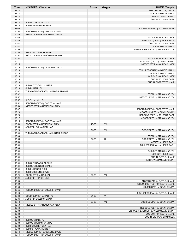| Time           | <b>VISITORS: Clemson</b>                             | <b>Score</b> | <b>Margin</b>  | <b>HOME: Temple</b>                                             |
|----------------|------------------------------------------------------|--------------|----------------|-----------------------------------------------------------------|
| 11:18          |                                                      |              |                | SUB OUT: BATTLE, KHALIF                                         |
| 11:18          |                                                      |              |                | SUB OUT: WHITE, JAHLIL                                          |
| 11:18<br>11:18 |                                                      |              |                | SUB IN: DUNN, DAMIAN<br>SUB IN: TOLBERT, SAGE                   |
| 11:18          | SUB OUT: HONOR, NICK                                 |              |                |                                                                 |
| 11:18          | SUB IN: HEMENWAY, ALEX                               |              |                |                                                                 |
| 11:00          |                                                      |              |                | MISSED JUMPER by TOLBERT, SAGE                                  |
| 10:54          | REBOUND (DEF) by HUNTER, CHASE                       |              |                |                                                                 |
| 10:49          | MISSED JUMPER by HUNTER, CHASE                       |              |                |                                                                 |
| 10:49          |                                                      |              |                | BLOCK by JOURDAIN, NICK                                         |
| 10:45          |                                                      |              |                | REBOUND (DEF) by HICKS, ZACH                                    |
| 10:41<br>10:41 |                                                      |              |                | SUB OUT: TOLBERT, SAGE<br>SUB IN: WHITE, JAHLIL                 |
| 10:38          |                                                      |              |                | TURNOVER (BADPASS) by STRICKLAND, TAI                           |
| 10:38          | STEAL by TYSON, HUNTER                               |              |                |                                                                 |
| 10:32          | MISSED JUMPER by BOHANNON, NAZ                       |              |                |                                                                 |
| 10:32          |                                                      |              |                | BLOCK by JOURDAIN, NICK                                         |
| 10:27          |                                                      |              |                | REBOUND (DEF) by DUNN, DAMIAN                                   |
| 10:15          |                                                      |              |                | MISSED 3PTR by JOURDAIN, NICK                                   |
| 10:13          | REBOUND (DEF) by HEMENWAY, ALEX                      |              |                |                                                                 |
| 10:13<br>10:13 |                                                      |              |                | FOUL (PERSONAL) by WHITE, JAHLIL<br>SUB OUT: WHITE, JAHLIL      |
| 10:13          |                                                      |              |                | SUB OUT: JOURDAIN, NICK                                         |
| 10:13          |                                                      |              |                | SUB IN: TOLBERT, SAGE                                           |
| 10:13          |                                                      |              |                | SUB IN: FORRESTER, JAKE                                         |
| 10:13          | SUB OUT: TYSON, HUNTER                               |              |                |                                                                 |
| 10:13          | SUB IN: HALL, PJ                                     |              |                |                                                                 |
| 10:02          | TURNOVER (BADPASS) by DAWES, AL-AMIR                 |              |                |                                                                 |
| 10:02          |                                                      |              |                | STEAL by STRICKLAND, TAI                                        |
| 09:57          |                                                      |              |                | MISSED LAYUP by STRICKLAND, TAI                                 |
| 09:57<br>09:52 | BLOCK by HALL, PJ<br>REBOUND (DEF) by DAWES, AL-AMIR |              |                |                                                                 |
| 09:50          | MISSED 3PTR by HEMENWAY, ALEX                        |              |                |                                                                 |
| 09:47          |                                                      |              |                | REBOUND (DEF) by FORRESTER, JAKE                                |
| 09:23          |                                                      |              |                | MISSED JUMPER by DUNN, DAMIAN                                   |
| 09:20          |                                                      |              |                | REBOUND (OFF) by TOLBERT, SAGE                                  |
| 09:17          |                                                      |              |                | MISSED 3PTR by STRICKLAND, TAI                                  |
| 09:15          | REBOUND (DEF) by DAWES, AL-AMIR                      |              |                |                                                                 |
| 08:58          | GOOD! 3PTR by HEMENWAY, ALEX                         | 18-23        | V <sub>5</sub> |                                                                 |
| 08:58<br>08:26 | ASSIST by BOHANNON, NAZ                              | $21 - 23$    | V <sub>2</sub> | GOOD! 3PTR by STRICKLAND, TAI                                   |
| 08:04          | TURNOVER (BADPASS) by HUNTER, CHASE                  |              |                |                                                                 |
| 08:04          |                                                      |              |                | STEAL by STRICKLAND, TAI                                        |
| 07:56          |                                                      | 24-23        | H <sub>1</sub> | GOOD! 3PTR by STRICKLAND, TAI                                   |
| 07:56          |                                                      |              |                | ASSIST by HICKS, ZACH                                           |
| 07:34          |                                                      |              |                | FOUL (PERSONAL) by HICKS, ZACH                                  |
| 07:34          |                                                      |              |                |                                                                 |
| 07:34          |                                                      |              |                | SUB OUT: STRICKLAND, TAI                                        |
| 07:34<br>07:34 |                                                      |              |                | SUB OUT: HICKS, ZACH                                            |
| 07:34          |                                                      |              |                | SUB IN: BATTLE, KHALIF<br>SUB IN: WILLIAMS, JEREMIAH            |
| 07:34          | SUB OUT: DAWES, AL-AMIR                              |              |                |                                                                 |
| 07:34          | SUB OUT: HUNTER, CHASE                               |              |                |                                                                 |
| 07:34          | SUB IN: HONOR, NICK                                  |              |                |                                                                 |
| 07:34          | SUB IN: COLLINS, DAVID                               |              |                |                                                                 |
| 07:24          | GOOD! 3PTR by HALL, PJ                               | 24-26        | V <sub>2</sub> |                                                                 |
| 07:24          | ASSIST by HONOR, NICK                                |              |                |                                                                 |
| 07:05          |                                                      |              |                | MISSED 3PTR by BATTLE, KHALIF                                   |
| 07:02<br>06:59 |                                                      |              |                | REBOUND (OFF) by FORRESTER, JAKE<br>MISSED 3PTR by DUNN, DAMIAN |
| 06:55          | REBOUND (DEF) by COLLINS, DAVID                      |              |                |                                                                 |
| 06:43          |                                                      |              |                | FOUL (PERSONAL) by BATTLE, KHALIF                               |
| 06:36          | GOOD! JUMPER by HALL, PJ                             | 24-28        | V <sub>4</sub> |                                                                 |
| 06:36          | ASSIST by COLLINS, DAVID                             |              |                |                                                                 |
| 06:16          |                                                      | 26-28        | V <sub>2</sub> | GOOD! JUMPER by DUNN, DAMIAN                                    |
| 05:50          | MISSED 3PTR by HEMENWAY, ALEX                        |              |                |                                                                 |
| 05:46          |                                                      |              |                | REBOUND (DEF) by DUNN, DAMIAN                                   |
| 05:38<br>05:38 |                                                      |              |                | TURNOVER (BADPASS) by WILLIAMS, JEREMIAH                        |
| 05:38          |                                                      |              |                | SUB OUT: FORRESTER, JAKE<br>SUB IN: OKPOMO, EMMANUEL            |
| 05:38          | SUB OUT: HALL, PJ                                    |              |                |                                                                 |
| 05:38          | SUB OUT: BOHANNON, NAZ                               |              |                |                                                                 |
| 05:38          | SUB IN: SCHIEFFELIN, IAN                             |              |                |                                                                 |
| 05:38          | SUB IN: TYSON, HUNTER                                |              |                |                                                                 |
| 05:16          | MISSED JUMPER by COLLINS, DAVID                      |              |                |                                                                 |
| 05:14          | REBOUND (OFF) by COLLINS, DAVID                      |              |                |                                                                 |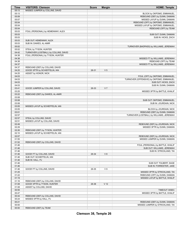| Time  | <b>VISITORS: Clemson</b>              | <b>Score</b> | <b>Margin</b>   | <b>HOME: Temple</b>                       |
|-------|---------------------------------------|--------------|-----------------|-------------------------------------------|
| 05:13 | MISSED JUMPER by COLLINS, DAVID       |              |                 |                                           |
| 05:13 |                                       |              |                 | BLOCK by OKPOMO, EMMANUEL                 |
| 05:09 |                                       |              |                 | REBOUND (DEF) by DUNN, DAMIAN             |
| 05:07 |                                       |              |                 | MISSED LAYUP by DUNN, DAMIAN              |
| 05:04 |                                       |              |                 | REBOUND (OFF) by OKPOMO, EMMANUEL         |
| 05:04 |                                       |              |                 | MISSED LAYUP by OKPOMO, EMMANUEL          |
| 05:04 |                                       |              |                 | REBOUND (OFF) by TEAM                     |
| 05:03 | FOUL (PERSONAL) by HEMENWAY, ALEX     |              |                 |                                           |
| 05:03 |                                       |              |                 | SUB OUT: DUNN, DAMIAN                     |
| 05:03 |                                       |              |                 | SUB IN: HICKS, ZACH                       |
| 05:03 | SUB OUT: HEMENWAY, ALEX               |              |                 |                                           |
| 05:03 | SUB IN: DAWES, AL-AMIR                |              |                 |                                           |
| 05:02 |                                       |              |                 | TURNOVER (BADPASS) by WILLIAMS, JEREMIAH  |
| 05:02 | STEAL by TYSON, HUNTER                |              |                 |                                           |
| 04:42 | TURNOVER (LOSTBALL) by COLLINS, DAVID |              |                 |                                           |
| 04:38 | FOUL (PERSONAL) by TYSON, HUNTER      |              |                 |                                           |
| 04:38 |                                       |              |                 | MISSED FT by WILLIAMS, JEREMIAH           |
| 04:38 |                                       |              |                 | REBOUND (OFF) by TEAM                     |
| 04:37 |                                       |              |                 | MISSED FT by WILLIAMS, JEREMIAH           |
| 04:37 | REBOUND (DEF) by COLLINS, DAVID       |              |                 |                                           |
| 04:25 | GOOD! 3PTR by SCHIEFFELIN, IAN        | 26-31        | V <sub>5</sub>  |                                           |
| 04:25 | ASSIST by HONOR, NICK                 |              |                 |                                           |
| 04:03 |                                       |              |                 | FOUL (OFF) by OKPOMO, EMMANUEL            |
| 04:03 |                                       |              |                 | TURNOVER (OFFENSIVE) by OKPOMO, EMMANUEL  |
| 04:03 |                                       |              |                 | SUB OUT: HICKS, ZACH                      |
| 04:03 |                                       |              |                 | SUB IN: DUNN, DAMIAN                      |
| 03:41 | GOOD! JUMPER by COLLINS, DAVID        | 26-33        | V <sub>7</sub>  |                                           |
| 03:25 |                                       |              |                 | MISSED 3PTR by BATTLE, KHALIF             |
| 03:22 | REBOUND (DEF) by DAWES, AL-AMIR       |              |                 |                                           |
| 03:08 |                                       |              |                 |                                           |
| 03:08 |                                       |              |                 | SUB OUT: OKPOMO, EMMANUEL                 |
| 03:08 |                                       |              |                 | SUB IN: JOURDAIN, NICK                    |
| 03:05 | MISSED LAYUP by SCHIEFFELIN, IAN      |              |                 |                                           |
| 03:05 |                                       |              |                 | BLOCK by JOURDAIN, NICK                   |
| 03:01 |                                       |              |                 | REBOUND (DEF) by DUNN, DAMIAN             |
| 02:57 |                                       |              |                 | TURNOVER (LOSTBALL) by WILLIAMS, JEREMIAH |
| 02:57 | STEAL by COLLINS, DAVID               |              |                 |                                           |
| 02:51 | MISSED LAYUP by COLLINS, DAVID        |              |                 |                                           |
| 02:49 |                                       |              |                 | REBOUND (DEF) by JOURDAIN, NICK           |
| 02:29 |                                       |              |                 | MISSED 3PTR by DUNN, DAMIAN               |
| 02:26 | REBOUND (DEF) by TYSON, HUNTER        |              |                 |                                           |
| 02:10 | MISSED LAYUP by SCHIEFFELIN, IAN      |              |                 |                                           |
| 02:07 |                                       |              |                 | REBOUND (DEF) by JOURDAIN, NICK           |
| 01:55 |                                       |              |                 | MISSED JUMPER by DUNN, DAMIAN             |
| 01:52 | REBOUND (DEF) by COLLINS, DAVID       |              |                 |                                           |
| 01:46 |                                       |              |                 | FOUL (PERSONAL) by BATTLE, KHALIF         |
| 01:46 |                                       |              |                 | SUB OUT: WILLIAMS, JEREMIAH               |
| 01:46 |                                       |              |                 | SUB IN: STRICKLAND, TAI                   |
| 01:46 | GOOD! FT by COLLINS, DAVID            | 26-34        | V8              |                                           |
| 01:46 | SUB OUT: SCHIEFFELIN, IAN             |              |                 |                                           |
| 01:46 | SUB IN: HALL, PJ                      |              |                 |                                           |
| 01:46 |                                       |              |                 | SUB OUT: TOLBERT, SAGE                    |
| 01:46 |                                       |              |                 | SUB IN: FORRESTER, JAKE                   |
| 01:46 | GOOD! FT by COLLINS, DAVID            | 26-35        | V <sub>9</sub>  |                                           |
| 01:25 |                                       |              |                 | MISSED 3PTR by STRICKLAND, TAI            |
| 01:22 |                                       |              |                 | REBOUND (OFF) by DUNN, DAMIAN             |
| 01:19 |                                       |              |                 | MISSED LAYUP by BATTLE, KHALIF            |
| 01:16 | REBOUND (DEF) by COLLINS, DAVID       |              |                 |                                           |
| 01:08 | GOOD! 3PTR by TYSON, HUNTER           | 26-38        | V <sub>12</sub> |                                           |
| 01:08 | ASSIST by COLLINS, DAVID              |              |                 |                                           |
| 00:55 |                                       |              |                 | TIMEOUT 30SEC                             |
| 00:47 |                                       |              |                 | MISSED 3PTR by BATTLE, KHALIF             |
| 00:44 | REBOUND (DEF) by COLLINS, DAVID       |              |                 |                                           |
| 00:24 | MISSED 3PTR by HALL, PJ               |              |                 |                                           |
| 00:21 |                                       |              |                 | REBOUND (DEF) by DUNN, DAMIAN             |
| 00:00 |                                       |              |                 | MISSED JUMPER by STRICKLAND, TAI          |
| 00:00 | REBOUND (DEF) by TEAM                 |              |                 |                                           |

**Clemson 38, Temple 26**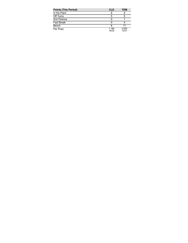| <b>Points (This Period)</b> | <b>CLE</b>     | TEM            |
|-----------------------------|----------------|----------------|
| In the Paint                |                |                |
| Off Turns                   | 5              | 5              |
| 2nd Chance                  |                |                |
| <b>Fast Break</b>           |                |                |
| Bench                       |                |                |
| Per Poss                    | 1.188<br>16/32 | 0.839<br>12/31 |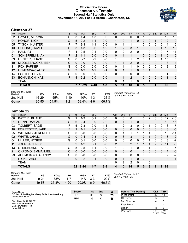### **Official Box Score Clemson vs Temple Second Half Statistics Only November 18, 2021 at TD Arena - Charleston, SC**



# **Clemson 37**

| No. | Plaver                  | S | <b>Pts</b>     | <b>FG</b> | 3FG      | <b>FT</b> | <b>OR</b>    | <b>DR</b> | TR             | PF | A            | TO       | <b>BIK</b> | <b>Stl</b>   | Min | $+/-$          |
|-----|-------------------------|---|----------------|-----------|----------|-----------|--------------|-----------|----------------|----|--------------|----------|------------|--------------|-----|----------------|
| 02  | DAWES, AL-AMIR          | G | 3              | 1-4       | 1-3      | $0 - 0$   | 0            | 0         | 0              | 0  |              | 0        | 0          | 0            | 12  | 13             |
| 04  | HONOR, NICK             | G | 5              | $2 - 2$   | $1 - 1$  | $0 - 0$   | 1            | $\Omega$  | 1              | 0  | $\mathbf{0}$ | 0        |            | 0            | 12  | 10             |
| 05  | <b>TYSON, HUNTER</b>    | F |                | $3 - 3$   | 1-1      | $0 - 0$   | 0            |           |                |    | 0            | 0        | 0          | $\Omega$     | 14  | 10             |
| 13  | COLLINS, DAVID          | G | 3              | $1 - 3$   | $0 - 0$  | $1 - 2$   | 1            | 2         | 3              |    | $\Omega$     | 0        | 0          |              | 13  | 13             |
| 24  | HALL. PJ                | F | 4              | $2 - 5$   | $0 - 1$  | $0 - 0$   | 0            | 2         | 2              | 0  |              | 0        | 0          | 0            | 7   | 11             |
| 01  | <b>SCHIEFFELIN, IAN</b> | F | $\overline{2}$ | $1 - 1$   | $0 - 0$  | $0 - 0$   | 0            |           | 1              |    | 0            | 0        | 0          |              | 6   | 0              |
| 03  | <b>HUNTER, CHASE</b>    | G | 6              | $3 - 7$   | $0 - 2$  | $0 - 0$   |              | 0         | 1              | 2  | 3            |          | 0          |              | 15  | 5              |
| 10  | MIDDLEBROOKS, BEN       | C | 0              | $0 - 0$   | $0 - 0$  | $0 - 0$   | $\mathbf{1}$ |           | 2              | 0  | $\Omega$     | 0        | 0          | $\mathbf{0}$ | 3   | $\overline{4}$ |
| 11  | FOX, PARKER             | G | 0              | $0 - 0$   | $0 - 0$  | $0 - 0$   | 0            |           |                | 0  | $\mathbf{0}$ | 0        | 0          | $\mathbf{0}$ | 2   | 2              |
| 12  | <b>HEMENWAY, ALEX</b>   | G | 3              | $1 - 2$   | $1 - 2$  | $0 - 1$   | $\Omega$     |           | 1              | 0  | $\Omega$     | 1        | 0          | $\Omega$     | 6   | 0              |
| 14  | <b>FOSTER, DEVIN</b>    | G | 0              | $0 - 0$   | $0 - 0$  | $0-0$     | 0            | 0         | 0              | 0  | $\Omega$     | 0        | 0          | $\Omega$     | 1   | $\overline{2}$ |
| 33  | BOHANNON, NAZ           | F | 4              | $2 - 2$   | $0 - 0$  | $0 - 0$   |              |           | $\overline{2}$ | 1  | $\Omega$     | $\Omega$ | $\Omega$   | $\Omega$     | 11  | 5              |
|     | TEAM                    |   |                |           |          |           | $\Omega$     |           |                | 0  |              |          |            |              |     |                |
|     | <b>TOTALS</b>           |   | 37             | 16-29     | $4 - 10$ | $1 - 3$   | 5            | 11        | 16             | 6  | 5            | 3        |            | 3            | 99  |                |
|     |                         |   |                |           |          |           |              |           |                |    |              |          |            |              |     |                |

| <b>Shooting By Period</b><br>Period | FG        | FG%      | 3FG       | 3FG%     | FТ      | FT%   | Deadball Rebounds: 0,1<br>Last FG Half: CLE - |
|-------------------------------------|-----------|----------|-----------|----------|---------|-------|-----------------------------------------------|
| 2nd Half                            | 16-29     | 55%      | 4-10      | 40%      | $1 - 3$ | 33%   |                                               |
| Game                                | $30 - 55$ | $54.5\%$ | $11 - 21$ | $52.4\%$ | 4-6     | 66.7% |                                               |

# **Temple 22**

| No. | Player                    | S | <b>Pts</b>     | <b>FG</b> | 3FG     | <b>FT</b> | <b>OR</b>      | <b>DR</b> | TR             | PF | A            | TO           | <b>Blk</b>     | Stl           | Min            | $+/-$ |
|-----|---------------------------|---|----------------|-----------|---------|-----------|----------------|-----------|----------------|----|--------------|--------------|----------------|---------------|----------------|-------|
| 00  | <b>BATTLE, KHALIF</b>     | G | 2              | $1 - 2$   | $0 - 1$ | $0-0$     | 0              | 0         | 0              |    | 0            | 2            | 0              | 0             | 12             | $-10$ |
| 01  | DUNN, DAMIAN              | G | 6              | $2 - 4$   | $0 - 0$ | $2 - 2$   | $\Omega$       |           | $\mathbf 1$    | 0  | $\mathbf{0}$ | $\mathbf{0}$ | 0              | 0             | 12             | $-16$ |
| 03  | <b>TOLBERT, SAGE</b>      | F | 5              | $2 - 3$   | $0 - 0$ | $1 - 1$   | 1              | 2         | 3              | 0  | 0            |              | 0              | 0             | 16             | $-7$  |
| 10  | <b>FORRESTER, JAKE</b>    | F | 2              | $1 - 1$   | $0 - 0$ | $0 - 0$   | $\mathbf{0}$   | 0         | 0              | 0  | $\mathbf{0}$ | $\mathbf{0}$ | 0              | $\mathbf{0}$  | 3              | $-5$  |
| 25  | <b>WILLIAMS, JEREMIAH</b> | G | 0              | $0 - 0$   | $0 - 0$ | $0-0$     | 0              | 1         | 1              |    |              |              | 0              | 0             | 10             | $-11$ |
| 02  | WHITE, JAHLIL             | G | $\Omega$       | $0 - 4$   | $0 - 3$ | $0 - 0$   | $\Omega$       | 3         | 3              |    | 0            |              | 0              | 0             | 8              | $-2$  |
| 04  | MILLER, HYSIER            | G | $\Omega$       | $0 - 1$   | $0 - 0$ | $0 - 0$   | $\mathbf{0}$   | $\Omega$  | 0              | 0  | $\mathbf{0}$ |              | 0              | 0             | 3              | $-2$  |
| 11  | <b>JOURDAIN, NICK</b>     | F | $\overline{2}$ | $1 - 2$   | $0 - 1$ | $0 - 0$   | $\overline{2}$ | $\Omega$  | $\overline{2}$ |    |              |              | $\overline{2}$ | $\mathcal{P}$ | 11             | -8    |
| 13  | STRICKLAND, TAI           | G | 5              | $2 - 5$   | $1 - 1$ | $0 - 0$   | 1              | $\Omega$  | 1              | 0  |              |              | 0              | 0             | 10             | $-5$  |
| 21  | <b>OKPOMO, EMMANUEL</b>   | C | 0              | $0 - 0$   | $0 - 0$ | $0 - 0$   | $\Omega$       | $\Omega$  | 0              |    | 0            | $\Omega$     | 0              | $\Omega$      | $\overline{4}$ | $-6$  |
| 23  | ADEMOKOYA, QUINCY         | G | 0              | $0 - 0$   | $0 - 0$ | $0 - 0$   | 0              | 0         | 0              | 0  | $\Omega$     | $\Omega$     | 0              | $\Omega$      | 2              | $-2$  |
| 24  | HICKS, ZACH               | F | 0              | $0 - 2$   | $0 - 1$ | $0 - 0$   | $\Omega$       | 1         | 1              | 0  | 2            | $\Omega$     | $\Omega$       | $\Omega$      | 8              | $-1$  |
|     | <b>TEAM</b>               |   |                |           |         |           | 0              | 2         | 2              | 0  |              | 0            |                |               |                |       |
|     | <b>TOTALS</b>             |   | $22 \,$        | $9 - 24$  | $1 - 7$ | $3 - 3$   | 4              | 10        | 14             | 5  | 5            | 8            | $\overline{2}$ | 2             | 99             |       |

| <b>Shooting By Period</b><br>Period | FG     | FG%   | 3FG  | 3FG%  | FТ  | FT%   | Deadk<br>Last F |
|-------------------------------------|--------|-------|------|-------|-----|-------|-----------------|
| 2nd Half                            | $9-24$ | 38%   |      | 14%   | 3-3 | 100%  |                 |
| Game                                | 19-53  | 35.8% | 4-20 | 20.0% | 6-9 | 66.7% |                 |

*Deadball Rebounds:* 2,0 *Last FG Half:* TEM -

| Game Notes:                                                               | <b>Score</b> | 1st | 2 <sub>nd</sub> | TOT | <b>Points (This Period)</b> | <b>CLE</b>     | <b>TEM</b>     |
|---------------------------------------------------------------------------|--------------|-----|-----------------|-----|-----------------------------|----------------|----------------|
| Officials: John Higgins, Gerry Pollard, Antinio Petty<br>Attendance: 3639 | <b>CLE</b>   | 38  | 37              | 75  | In the Paint                | 20             | 14             |
|                                                                           | <b>TEM</b>   | 26  | 22              | 48  | Off Turns                   |                |                |
| Start Time: 04:29 PM ET                                                   |              |     |                 |     | 2nd Chance                  |                |                |
| End Time: 06:09 PM ET<br>Game Duration: 1:40                              |              |     |                 |     | <b>Fast Break</b>           |                |                |
| Neutral Court:                                                            |              |     |                 |     | Bench                       | 15             |                |
|                                                                           |              |     |                 |     | Per Poss                    | l.321<br>17/28 | 0.759<br>11/29 |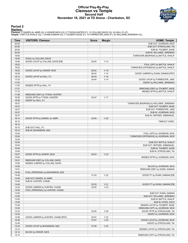### **Official Play-By-Play Clemson vs Temple Second Half November 18, 2021 at TD Arena - Charleston, SC**



# **Period 2**

<mark>Starters:</mark><br>Clemson: 2 DAWES,AL-AMIR (G); 4 HONOR,NICK (G); 5 TYSON,HUNTER (F); 13 COLLINS,DAVID (G); 24 HALL,PJ (F);<br>Temple: 0 BATTLE,KHALIF (G); 1 DUNN,DAMIAN (G); 3 TOLBERT,SAGE (F); 10 FORRESTER,JAKE (F); 25 WILLIAMS,J

| SUB OUT: JOURDAIN, NICK<br>20:00<br>20:00<br>SUB OUT: STRICKLAND, TAI<br>20:00<br>SUB IN: TOLBERT, SAGE<br>20:00<br>SUB IN: WILLIAMS, JEREMIAH<br>19:50<br>TURNOVER (BADPASS) by BATTLE, KHALIF<br>19:50<br>STEAL by COLLINS, DAVID<br>GOOD! LAYUP by COLLINS, DAVID [FB]<br>19:46<br>V <sub>14</sub><br>26-40<br>19:22<br>FOUL (OFF) by BATTLE, KHALIF<br>19:22<br>TURNOVER (OFFENSIVE) by BATTLE, KHALIF<br>18:52<br>V 16<br>GOOD! LAYUP by HONOR, NICK<br>26-42<br>V <sub>14</sub><br>18:28<br>28-42<br>GOOD! JUMPER by DUNN, DAMIAN [PNT]<br>18:12<br>28-44<br>V 16<br>GOOD! LAYUP by HALL, PJ<br>17:53<br>V <sub>14</sub><br>30-44<br>GOOD! LAYUP by FORRESTER, JAKE<br>17:53<br>ASSIST by WILLIAMS, JEREMIAH<br>17:24<br>MISSED 3PTR by HALL, PJ<br>17:21<br>REBOUND (DEF) by TOLBERT, SAGE<br>17:12<br>MISSED 3PTR by BATTLE, KHALIF<br>17:08<br>REBOUND (DEF) by TYSON, HUNTER<br>16:55<br>V 17<br>GOOD! 3PTR by TYSON, HUNTER<br>30-47<br>16:55<br>ASSIST by HALL, PJ<br>16:37<br>TURNOVER (BADPASS) by WILLIAMS, JEREMIAH<br>16:37<br>SUB OUT: TOLBERT, SAGE<br>16:37<br>SUB OUT: FORRESTER, JAKE<br>16:37<br>SUB IN: JOURDAIN, NICK<br>16:37<br>SUB IN: OKPOMO, EMMANUEL<br>16:14<br>V <sub>20</sub><br>GOOD! 3PTR by DAWES, AL-AMIR<br>$30 - 50$<br>16:10<br>TIMEOUT 30SEC<br>16:10<br>16:10<br>SUB OUT: HALL, PJ<br>16:10<br>SUB IN: BOHANNON, NAZ<br>15:54<br>FOUL (OFF) by JOURDAIN, NICK<br>15:54<br>TURNOVER (OFFENSIVE) by JOURDAIN, NICK<br>15:54<br>15:54<br>SUB OUT: BATTLE, KHALIF<br>15:54<br>SUB OUT: OKPOMO, EMMANUEL<br>15:54<br>SUB IN: TOLBERT, SAGE<br>15:54<br>SUB IN: STRICKLAND, TAI<br>15:27<br>V <sub>23</sub><br>GOOD! 3PTR by HONOR, NICK<br>$30 - 53$<br>15:04<br>MISSED 3PTR by JOURDAIN, NICK<br>15:01<br>REBOUND (DEF) by COLLINS, DAVID<br>14:55<br>MISSED JUMPER by COLLINS, DAVID<br>14:55<br>BLOCK by JOURDAIN, NICK<br>14:51<br>REBOUND (DEF) by DUNN, DAMIAN<br>FOUL (PERSONAL) by BOHANNON, NAZ<br>14:49<br>14:49<br>31-53<br>GOOD! FT by DUNN, DAMIAN [FB]<br>V <sub>22</sub><br>14:49<br>SUB OUT: DAWES, AL-AMIR<br>14:49<br>SUB IN: HUNTER, CHASE<br>14:49<br>V <sub>21</sub><br>GOOD! FT by DUNN, DAMIAN [FB]<br>$32 - 53$<br>14:24<br>GOOD! JUMPER by HUNTER, CHASE<br>V <sub>23</sub><br>32-55<br>13:55<br>FOUL (PERSONAL) by HUNTER, CHASE<br>13:55<br>SUB OUT: DUNN, DAMIAN<br>13:55<br>SUB OUT: WILLIAMS, JEREMIAH<br>13:55<br>SUB IN: BATTLE, KHALIF<br>13:55<br>SUB IN: HICKS, ZACH<br>13:39<br>MISSED LAYUP by TOLBERT, SAGE<br>13:35<br>REBOUND (OFF) by JOURDAIN, NICK<br>13:33<br>V <sub>20</sub><br>GOOD! 3PTR by STRICKLAND, TAI<br>35-55<br>13:33<br>ASSIST by JOURDAIN, NICK<br>13:09<br>V <sub>22</sub><br>GOOD! JUMPER by HUNTER, CHASE [PNT]<br>35-57<br>12:49<br>GOOD! LAYUP by JOURDAIN, NICK<br>37-57<br>V <sub>20</sub><br>12:49<br>ASSIST by STRICKLAND, TAI<br>12:33<br>V <sub>22</sub><br>GOOD! LAYUP by BOHANNON, NAZ<br>37-59<br>12:14<br>MISSED LAYUP by STRICKLAND, TAI<br>12:14<br>BLOCK by HONOR, NICK<br>12:13<br>REBOUND (OFF) by STRICKLAND, TAI | <b>Time</b> | <b>VISITORS: Clemson</b> | <b>Score</b> | <b>Margin</b> | <b>HOME: Temple</b> |
|---------------------------------------------------------------------------------------------------------------------------------------------------------------------------------------------------------------------------------------------------------------------------------------------------------------------------------------------------------------------------------------------------------------------------------------------------------------------------------------------------------------------------------------------------------------------------------------------------------------------------------------------------------------------------------------------------------------------------------------------------------------------------------------------------------------------------------------------------------------------------------------------------------------------------------------------------------------------------------------------------------------------------------------------------------------------------------------------------------------------------------------------------------------------------------------------------------------------------------------------------------------------------------------------------------------------------------------------------------------------------------------------------------------------------------------------------------------------------------------------------------------------------------------------------------------------------------------------------------------------------------------------------------------------------------------------------------------------------------------------------------------------------------------------------------------------------------------------------------------------------------------------------------------------------------------------------------------------------------------------------------------------------------------------------------------------------------------------------------------------------------------------------------------------------------------------------------------------------------------------------------------------------------------------------------------------------------------------------------------------------------------------------------------------------------------------------------------------------------------------------------------------------------------------------------------------------------------------------------------------------------------------------------------------------------------------------------------------------------------------------------------------------------------------------------------------------------------------------------------------------------------------------------------------------------------------------------------------------------------------------------------------------------------|-------------|--------------------------|--------------|---------------|---------------------|
|                                                                                                                                                                                                                                                                                                                                                                                                                                                                                                                                                                                                                                                                                                                                                                                                                                                                                                                                                                                                                                                                                                                                                                                                                                                                                                                                                                                                                                                                                                                                                                                                                                                                                                                                                                                                                                                                                                                                                                                                                                                                                                                                                                                                                                                                                                                                                                                                                                                                                                                                                                                                                                                                                                                                                                                                                                                                                                                                                                                                                                       |             |                          |              |               |                     |
|                                                                                                                                                                                                                                                                                                                                                                                                                                                                                                                                                                                                                                                                                                                                                                                                                                                                                                                                                                                                                                                                                                                                                                                                                                                                                                                                                                                                                                                                                                                                                                                                                                                                                                                                                                                                                                                                                                                                                                                                                                                                                                                                                                                                                                                                                                                                                                                                                                                                                                                                                                                                                                                                                                                                                                                                                                                                                                                                                                                                                                       |             |                          |              |               |                     |
|                                                                                                                                                                                                                                                                                                                                                                                                                                                                                                                                                                                                                                                                                                                                                                                                                                                                                                                                                                                                                                                                                                                                                                                                                                                                                                                                                                                                                                                                                                                                                                                                                                                                                                                                                                                                                                                                                                                                                                                                                                                                                                                                                                                                                                                                                                                                                                                                                                                                                                                                                                                                                                                                                                                                                                                                                                                                                                                                                                                                                                       |             |                          |              |               |                     |
|                                                                                                                                                                                                                                                                                                                                                                                                                                                                                                                                                                                                                                                                                                                                                                                                                                                                                                                                                                                                                                                                                                                                                                                                                                                                                                                                                                                                                                                                                                                                                                                                                                                                                                                                                                                                                                                                                                                                                                                                                                                                                                                                                                                                                                                                                                                                                                                                                                                                                                                                                                                                                                                                                                                                                                                                                                                                                                                                                                                                                                       |             |                          |              |               |                     |
|                                                                                                                                                                                                                                                                                                                                                                                                                                                                                                                                                                                                                                                                                                                                                                                                                                                                                                                                                                                                                                                                                                                                                                                                                                                                                                                                                                                                                                                                                                                                                                                                                                                                                                                                                                                                                                                                                                                                                                                                                                                                                                                                                                                                                                                                                                                                                                                                                                                                                                                                                                                                                                                                                                                                                                                                                                                                                                                                                                                                                                       |             |                          |              |               |                     |
|                                                                                                                                                                                                                                                                                                                                                                                                                                                                                                                                                                                                                                                                                                                                                                                                                                                                                                                                                                                                                                                                                                                                                                                                                                                                                                                                                                                                                                                                                                                                                                                                                                                                                                                                                                                                                                                                                                                                                                                                                                                                                                                                                                                                                                                                                                                                                                                                                                                                                                                                                                                                                                                                                                                                                                                                                                                                                                                                                                                                                                       |             |                          |              |               |                     |
|                                                                                                                                                                                                                                                                                                                                                                                                                                                                                                                                                                                                                                                                                                                                                                                                                                                                                                                                                                                                                                                                                                                                                                                                                                                                                                                                                                                                                                                                                                                                                                                                                                                                                                                                                                                                                                                                                                                                                                                                                                                                                                                                                                                                                                                                                                                                                                                                                                                                                                                                                                                                                                                                                                                                                                                                                                                                                                                                                                                                                                       |             |                          |              |               |                     |
|                                                                                                                                                                                                                                                                                                                                                                                                                                                                                                                                                                                                                                                                                                                                                                                                                                                                                                                                                                                                                                                                                                                                                                                                                                                                                                                                                                                                                                                                                                                                                                                                                                                                                                                                                                                                                                                                                                                                                                                                                                                                                                                                                                                                                                                                                                                                                                                                                                                                                                                                                                                                                                                                                                                                                                                                                                                                                                                                                                                                                                       |             |                          |              |               |                     |
|                                                                                                                                                                                                                                                                                                                                                                                                                                                                                                                                                                                                                                                                                                                                                                                                                                                                                                                                                                                                                                                                                                                                                                                                                                                                                                                                                                                                                                                                                                                                                                                                                                                                                                                                                                                                                                                                                                                                                                                                                                                                                                                                                                                                                                                                                                                                                                                                                                                                                                                                                                                                                                                                                                                                                                                                                                                                                                                                                                                                                                       |             |                          |              |               |                     |
|                                                                                                                                                                                                                                                                                                                                                                                                                                                                                                                                                                                                                                                                                                                                                                                                                                                                                                                                                                                                                                                                                                                                                                                                                                                                                                                                                                                                                                                                                                                                                                                                                                                                                                                                                                                                                                                                                                                                                                                                                                                                                                                                                                                                                                                                                                                                                                                                                                                                                                                                                                                                                                                                                                                                                                                                                                                                                                                                                                                                                                       |             |                          |              |               |                     |
|                                                                                                                                                                                                                                                                                                                                                                                                                                                                                                                                                                                                                                                                                                                                                                                                                                                                                                                                                                                                                                                                                                                                                                                                                                                                                                                                                                                                                                                                                                                                                                                                                                                                                                                                                                                                                                                                                                                                                                                                                                                                                                                                                                                                                                                                                                                                                                                                                                                                                                                                                                                                                                                                                                                                                                                                                                                                                                                                                                                                                                       |             |                          |              |               |                     |
|                                                                                                                                                                                                                                                                                                                                                                                                                                                                                                                                                                                                                                                                                                                                                                                                                                                                                                                                                                                                                                                                                                                                                                                                                                                                                                                                                                                                                                                                                                                                                                                                                                                                                                                                                                                                                                                                                                                                                                                                                                                                                                                                                                                                                                                                                                                                                                                                                                                                                                                                                                                                                                                                                                                                                                                                                                                                                                                                                                                                                                       |             |                          |              |               |                     |
|                                                                                                                                                                                                                                                                                                                                                                                                                                                                                                                                                                                                                                                                                                                                                                                                                                                                                                                                                                                                                                                                                                                                                                                                                                                                                                                                                                                                                                                                                                                                                                                                                                                                                                                                                                                                                                                                                                                                                                                                                                                                                                                                                                                                                                                                                                                                                                                                                                                                                                                                                                                                                                                                                                                                                                                                                                                                                                                                                                                                                                       |             |                          |              |               |                     |
|                                                                                                                                                                                                                                                                                                                                                                                                                                                                                                                                                                                                                                                                                                                                                                                                                                                                                                                                                                                                                                                                                                                                                                                                                                                                                                                                                                                                                                                                                                                                                                                                                                                                                                                                                                                                                                                                                                                                                                                                                                                                                                                                                                                                                                                                                                                                                                                                                                                                                                                                                                                                                                                                                                                                                                                                                                                                                                                                                                                                                                       |             |                          |              |               |                     |
|                                                                                                                                                                                                                                                                                                                                                                                                                                                                                                                                                                                                                                                                                                                                                                                                                                                                                                                                                                                                                                                                                                                                                                                                                                                                                                                                                                                                                                                                                                                                                                                                                                                                                                                                                                                                                                                                                                                                                                                                                                                                                                                                                                                                                                                                                                                                                                                                                                                                                                                                                                                                                                                                                                                                                                                                                                                                                                                                                                                                                                       |             |                          |              |               |                     |
|                                                                                                                                                                                                                                                                                                                                                                                                                                                                                                                                                                                                                                                                                                                                                                                                                                                                                                                                                                                                                                                                                                                                                                                                                                                                                                                                                                                                                                                                                                                                                                                                                                                                                                                                                                                                                                                                                                                                                                                                                                                                                                                                                                                                                                                                                                                                                                                                                                                                                                                                                                                                                                                                                                                                                                                                                                                                                                                                                                                                                                       |             |                          |              |               |                     |
|                                                                                                                                                                                                                                                                                                                                                                                                                                                                                                                                                                                                                                                                                                                                                                                                                                                                                                                                                                                                                                                                                                                                                                                                                                                                                                                                                                                                                                                                                                                                                                                                                                                                                                                                                                                                                                                                                                                                                                                                                                                                                                                                                                                                                                                                                                                                                                                                                                                                                                                                                                                                                                                                                                                                                                                                                                                                                                                                                                                                                                       |             |                          |              |               |                     |
|                                                                                                                                                                                                                                                                                                                                                                                                                                                                                                                                                                                                                                                                                                                                                                                                                                                                                                                                                                                                                                                                                                                                                                                                                                                                                                                                                                                                                                                                                                                                                                                                                                                                                                                                                                                                                                                                                                                                                                                                                                                                                                                                                                                                                                                                                                                                                                                                                                                                                                                                                                                                                                                                                                                                                                                                                                                                                                                                                                                                                                       |             |                          |              |               |                     |
|                                                                                                                                                                                                                                                                                                                                                                                                                                                                                                                                                                                                                                                                                                                                                                                                                                                                                                                                                                                                                                                                                                                                                                                                                                                                                                                                                                                                                                                                                                                                                                                                                                                                                                                                                                                                                                                                                                                                                                                                                                                                                                                                                                                                                                                                                                                                                                                                                                                                                                                                                                                                                                                                                                                                                                                                                                                                                                                                                                                                                                       |             |                          |              |               |                     |
|                                                                                                                                                                                                                                                                                                                                                                                                                                                                                                                                                                                                                                                                                                                                                                                                                                                                                                                                                                                                                                                                                                                                                                                                                                                                                                                                                                                                                                                                                                                                                                                                                                                                                                                                                                                                                                                                                                                                                                                                                                                                                                                                                                                                                                                                                                                                                                                                                                                                                                                                                                                                                                                                                                                                                                                                                                                                                                                                                                                                                                       |             |                          |              |               |                     |
|                                                                                                                                                                                                                                                                                                                                                                                                                                                                                                                                                                                                                                                                                                                                                                                                                                                                                                                                                                                                                                                                                                                                                                                                                                                                                                                                                                                                                                                                                                                                                                                                                                                                                                                                                                                                                                                                                                                                                                                                                                                                                                                                                                                                                                                                                                                                                                                                                                                                                                                                                                                                                                                                                                                                                                                                                                                                                                                                                                                                                                       |             |                          |              |               |                     |
|                                                                                                                                                                                                                                                                                                                                                                                                                                                                                                                                                                                                                                                                                                                                                                                                                                                                                                                                                                                                                                                                                                                                                                                                                                                                                                                                                                                                                                                                                                                                                                                                                                                                                                                                                                                                                                                                                                                                                                                                                                                                                                                                                                                                                                                                                                                                                                                                                                                                                                                                                                                                                                                                                                                                                                                                                                                                                                                                                                                                                                       |             |                          |              |               |                     |
|                                                                                                                                                                                                                                                                                                                                                                                                                                                                                                                                                                                                                                                                                                                                                                                                                                                                                                                                                                                                                                                                                                                                                                                                                                                                                                                                                                                                                                                                                                                                                                                                                                                                                                                                                                                                                                                                                                                                                                                                                                                                                                                                                                                                                                                                                                                                                                                                                                                                                                                                                                                                                                                                                                                                                                                                                                                                                                                                                                                                                                       |             |                          |              |               |                     |
|                                                                                                                                                                                                                                                                                                                                                                                                                                                                                                                                                                                                                                                                                                                                                                                                                                                                                                                                                                                                                                                                                                                                                                                                                                                                                                                                                                                                                                                                                                                                                                                                                                                                                                                                                                                                                                                                                                                                                                                                                                                                                                                                                                                                                                                                                                                                                                                                                                                                                                                                                                                                                                                                                                                                                                                                                                                                                                                                                                                                                                       |             |                          |              |               |                     |
|                                                                                                                                                                                                                                                                                                                                                                                                                                                                                                                                                                                                                                                                                                                                                                                                                                                                                                                                                                                                                                                                                                                                                                                                                                                                                                                                                                                                                                                                                                                                                                                                                                                                                                                                                                                                                                                                                                                                                                                                                                                                                                                                                                                                                                                                                                                                                                                                                                                                                                                                                                                                                                                                                                                                                                                                                                                                                                                                                                                                                                       |             |                          |              |               |                     |
|                                                                                                                                                                                                                                                                                                                                                                                                                                                                                                                                                                                                                                                                                                                                                                                                                                                                                                                                                                                                                                                                                                                                                                                                                                                                                                                                                                                                                                                                                                                                                                                                                                                                                                                                                                                                                                                                                                                                                                                                                                                                                                                                                                                                                                                                                                                                                                                                                                                                                                                                                                                                                                                                                                                                                                                                                                                                                                                                                                                                                                       |             |                          |              |               |                     |
|                                                                                                                                                                                                                                                                                                                                                                                                                                                                                                                                                                                                                                                                                                                                                                                                                                                                                                                                                                                                                                                                                                                                                                                                                                                                                                                                                                                                                                                                                                                                                                                                                                                                                                                                                                                                                                                                                                                                                                                                                                                                                                                                                                                                                                                                                                                                                                                                                                                                                                                                                                                                                                                                                                                                                                                                                                                                                                                                                                                                                                       |             |                          |              |               |                     |
|                                                                                                                                                                                                                                                                                                                                                                                                                                                                                                                                                                                                                                                                                                                                                                                                                                                                                                                                                                                                                                                                                                                                                                                                                                                                                                                                                                                                                                                                                                                                                                                                                                                                                                                                                                                                                                                                                                                                                                                                                                                                                                                                                                                                                                                                                                                                                                                                                                                                                                                                                                                                                                                                                                                                                                                                                                                                                                                                                                                                                                       |             |                          |              |               |                     |
|                                                                                                                                                                                                                                                                                                                                                                                                                                                                                                                                                                                                                                                                                                                                                                                                                                                                                                                                                                                                                                                                                                                                                                                                                                                                                                                                                                                                                                                                                                                                                                                                                                                                                                                                                                                                                                                                                                                                                                                                                                                                                                                                                                                                                                                                                                                                                                                                                                                                                                                                                                                                                                                                                                                                                                                                                                                                                                                                                                                                                                       |             |                          |              |               |                     |
|                                                                                                                                                                                                                                                                                                                                                                                                                                                                                                                                                                                                                                                                                                                                                                                                                                                                                                                                                                                                                                                                                                                                                                                                                                                                                                                                                                                                                                                                                                                                                                                                                                                                                                                                                                                                                                                                                                                                                                                                                                                                                                                                                                                                                                                                                                                                                                                                                                                                                                                                                                                                                                                                                                                                                                                                                                                                                                                                                                                                                                       |             |                          |              |               |                     |
|                                                                                                                                                                                                                                                                                                                                                                                                                                                                                                                                                                                                                                                                                                                                                                                                                                                                                                                                                                                                                                                                                                                                                                                                                                                                                                                                                                                                                                                                                                                                                                                                                                                                                                                                                                                                                                                                                                                                                                                                                                                                                                                                                                                                                                                                                                                                                                                                                                                                                                                                                                                                                                                                                                                                                                                                                                                                                                                                                                                                                                       |             |                          |              |               |                     |
|                                                                                                                                                                                                                                                                                                                                                                                                                                                                                                                                                                                                                                                                                                                                                                                                                                                                                                                                                                                                                                                                                                                                                                                                                                                                                                                                                                                                                                                                                                                                                                                                                                                                                                                                                                                                                                                                                                                                                                                                                                                                                                                                                                                                                                                                                                                                                                                                                                                                                                                                                                                                                                                                                                                                                                                                                                                                                                                                                                                                                                       |             |                          |              |               |                     |
|                                                                                                                                                                                                                                                                                                                                                                                                                                                                                                                                                                                                                                                                                                                                                                                                                                                                                                                                                                                                                                                                                                                                                                                                                                                                                                                                                                                                                                                                                                                                                                                                                                                                                                                                                                                                                                                                                                                                                                                                                                                                                                                                                                                                                                                                                                                                                                                                                                                                                                                                                                                                                                                                                                                                                                                                                                                                                                                                                                                                                                       |             |                          |              |               |                     |
|                                                                                                                                                                                                                                                                                                                                                                                                                                                                                                                                                                                                                                                                                                                                                                                                                                                                                                                                                                                                                                                                                                                                                                                                                                                                                                                                                                                                                                                                                                                                                                                                                                                                                                                                                                                                                                                                                                                                                                                                                                                                                                                                                                                                                                                                                                                                                                                                                                                                                                                                                                                                                                                                                                                                                                                                                                                                                                                                                                                                                                       |             |                          |              |               |                     |
|                                                                                                                                                                                                                                                                                                                                                                                                                                                                                                                                                                                                                                                                                                                                                                                                                                                                                                                                                                                                                                                                                                                                                                                                                                                                                                                                                                                                                                                                                                                                                                                                                                                                                                                                                                                                                                                                                                                                                                                                                                                                                                                                                                                                                                                                                                                                                                                                                                                                                                                                                                                                                                                                                                                                                                                                                                                                                                                                                                                                                                       |             |                          |              |               |                     |
|                                                                                                                                                                                                                                                                                                                                                                                                                                                                                                                                                                                                                                                                                                                                                                                                                                                                                                                                                                                                                                                                                                                                                                                                                                                                                                                                                                                                                                                                                                                                                                                                                                                                                                                                                                                                                                                                                                                                                                                                                                                                                                                                                                                                                                                                                                                                                                                                                                                                                                                                                                                                                                                                                                                                                                                                                                                                                                                                                                                                                                       |             |                          |              |               |                     |
|                                                                                                                                                                                                                                                                                                                                                                                                                                                                                                                                                                                                                                                                                                                                                                                                                                                                                                                                                                                                                                                                                                                                                                                                                                                                                                                                                                                                                                                                                                                                                                                                                                                                                                                                                                                                                                                                                                                                                                                                                                                                                                                                                                                                                                                                                                                                                                                                                                                                                                                                                                                                                                                                                                                                                                                                                                                                                                                                                                                                                                       |             |                          |              |               |                     |
|                                                                                                                                                                                                                                                                                                                                                                                                                                                                                                                                                                                                                                                                                                                                                                                                                                                                                                                                                                                                                                                                                                                                                                                                                                                                                                                                                                                                                                                                                                                                                                                                                                                                                                                                                                                                                                                                                                                                                                                                                                                                                                                                                                                                                                                                                                                                                                                                                                                                                                                                                                                                                                                                                                                                                                                                                                                                                                                                                                                                                                       |             |                          |              |               |                     |
|                                                                                                                                                                                                                                                                                                                                                                                                                                                                                                                                                                                                                                                                                                                                                                                                                                                                                                                                                                                                                                                                                                                                                                                                                                                                                                                                                                                                                                                                                                                                                                                                                                                                                                                                                                                                                                                                                                                                                                                                                                                                                                                                                                                                                                                                                                                                                                                                                                                                                                                                                                                                                                                                                                                                                                                                                                                                                                                                                                                                                                       |             |                          |              |               |                     |
|                                                                                                                                                                                                                                                                                                                                                                                                                                                                                                                                                                                                                                                                                                                                                                                                                                                                                                                                                                                                                                                                                                                                                                                                                                                                                                                                                                                                                                                                                                                                                                                                                                                                                                                                                                                                                                                                                                                                                                                                                                                                                                                                                                                                                                                                                                                                                                                                                                                                                                                                                                                                                                                                                                                                                                                                                                                                                                                                                                                                                                       |             |                          |              |               |                     |
|                                                                                                                                                                                                                                                                                                                                                                                                                                                                                                                                                                                                                                                                                                                                                                                                                                                                                                                                                                                                                                                                                                                                                                                                                                                                                                                                                                                                                                                                                                                                                                                                                                                                                                                                                                                                                                                                                                                                                                                                                                                                                                                                                                                                                                                                                                                                                                                                                                                                                                                                                                                                                                                                                                                                                                                                                                                                                                                                                                                                                                       |             |                          |              |               |                     |
|                                                                                                                                                                                                                                                                                                                                                                                                                                                                                                                                                                                                                                                                                                                                                                                                                                                                                                                                                                                                                                                                                                                                                                                                                                                                                                                                                                                                                                                                                                                                                                                                                                                                                                                                                                                                                                                                                                                                                                                                                                                                                                                                                                                                                                                                                                                                                                                                                                                                                                                                                                                                                                                                                                                                                                                                                                                                                                                                                                                                                                       |             |                          |              |               |                     |
|                                                                                                                                                                                                                                                                                                                                                                                                                                                                                                                                                                                                                                                                                                                                                                                                                                                                                                                                                                                                                                                                                                                                                                                                                                                                                                                                                                                                                                                                                                                                                                                                                                                                                                                                                                                                                                                                                                                                                                                                                                                                                                                                                                                                                                                                                                                                                                                                                                                                                                                                                                                                                                                                                                                                                                                                                                                                                                                                                                                                                                       |             |                          |              |               |                     |
|                                                                                                                                                                                                                                                                                                                                                                                                                                                                                                                                                                                                                                                                                                                                                                                                                                                                                                                                                                                                                                                                                                                                                                                                                                                                                                                                                                                                                                                                                                                                                                                                                                                                                                                                                                                                                                                                                                                                                                                                                                                                                                                                                                                                                                                                                                                                                                                                                                                                                                                                                                                                                                                                                                                                                                                                                                                                                                                                                                                                                                       |             |                          |              |               |                     |
|                                                                                                                                                                                                                                                                                                                                                                                                                                                                                                                                                                                                                                                                                                                                                                                                                                                                                                                                                                                                                                                                                                                                                                                                                                                                                                                                                                                                                                                                                                                                                                                                                                                                                                                                                                                                                                                                                                                                                                                                                                                                                                                                                                                                                                                                                                                                                                                                                                                                                                                                                                                                                                                                                                                                                                                                                                                                                                                                                                                                                                       |             |                          |              |               |                     |
|                                                                                                                                                                                                                                                                                                                                                                                                                                                                                                                                                                                                                                                                                                                                                                                                                                                                                                                                                                                                                                                                                                                                                                                                                                                                                                                                                                                                                                                                                                                                                                                                                                                                                                                                                                                                                                                                                                                                                                                                                                                                                                                                                                                                                                                                                                                                                                                                                                                                                                                                                                                                                                                                                                                                                                                                                                                                                                                                                                                                                                       |             |                          |              |               |                     |
|                                                                                                                                                                                                                                                                                                                                                                                                                                                                                                                                                                                                                                                                                                                                                                                                                                                                                                                                                                                                                                                                                                                                                                                                                                                                                                                                                                                                                                                                                                                                                                                                                                                                                                                                                                                                                                                                                                                                                                                                                                                                                                                                                                                                                                                                                                                                                                                                                                                                                                                                                                                                                                                                                                                                                                                                                                                                                                                                                                                                                                       |             |                          |              |               |                     |
|                                                                                                                                                                                                                                                                                                                                                                                                                                                                                                                                                                                                                                                                                                                                                                                                                                                                                                                                                                                                                                                                                                                                                                                                                                                                                                                                                                                                                                                                                                                                                                                                                                                                                                                                                                                                                                                                                                                                                                                                                                                                                                                                                                                                                                                                                                                                                                                                                                                                                                                                                                                                                                                                                                                                                                                                                                                                                                                                                                                                                                       |             |                          |              |               |                     |
|                                                                                                                                                                                                                                                                                                                                                                                                                                                                                                                                                                                                                                                                                                                                                                                                                                                                                                                                                                                                                                                                                                                                                                                                                                                                                                                                                                                                                                                                                                                                                                                                                                                                                                                                                                                                                                                                                                                                                                                                                                                                                                                                                                                                                                                                                                                                                                                                                                                                                                                                                                                                                                                                                                                                                                                                                                                                                                                                                                                                                                       |             |                          |              |               |                     |
|                                                                                                                                                                                                                                                                                                                                                                                                                                                                                                                                                                                                                                                                                                                                                                                                                                                                                                                                                                                                                                                                                                                                                                                                                                                                                                                                                                                                                                                                                                                                                                                                                                                                                                                                                                                                                                                                                                                                                                                                                                                                                                                                                                                                                                                                                                                                                                                                                                                                                                                                                                                                                                                                                                                                                                                                                                                                                                                                                                                                                                       |             |                          |              |               |                     |
|                                                                                                                                                                                                                                                                                                                                                                                                                                                                                                                                                                                                                                                                                                                                                                                                                                                                                                                                                                                                                                                                                                                                                                                                                                                                                                                                                                                                                                                                                                                                                                                                                                                                                                                                                                                                                                                                                                                                                                                                                                                                                                                                                                                                                                                                                                                                                                                                                                                                                                                                                                                                                                                                                                                                                                                                                                                                                                                                                                                                                                       |             |                          |              |               |                     |
|                                                                                                                                                                                                                                                                                                                                                                                                                                                                                                                                                                                                                                                                                                                                                                                                                                                                                                                                                                                                                                                                                                                                                                                                                                                                                                                                                                                                                                                                                                                                                                                                                                                                                                                                                                                                                                                                                                                                                                                                                                                                                                                                                                                                                                                                                                                                                                                                                                                                                                                                                                                                                                                                                                                                                                                                                                                                                                                                                                                                                                       |             |                          |              |               |                     |
|                                                                                                                                                                                                                                                                                                                                                                                                                                                                                                                                                                                                                                                                                                                                                                                                                                                                                                                                                                                                                                                                                                                                                                                                                                                                                                                                                                                                                                                                                                                                                                                                                                                                                                                                                                                                                                                                                                                                                                                                                                                                                                                                                                                                                                                                                                                                                                                                                                                                                                                                                                                                                                                                                                                                                                                                                                                                                                                                                                                                                                       |             |                          |              |               |                     |
|                                                                                                                                                                                                                                                                                                                                                                                                                                                                                                                                                                                                                                                                                                                                                                                                                                                                                                                                                                                                                                                                                                                                                                                                                                                                                                                                                                                                                                                                                                                                                                                                                                                                                                                                                                                                                                                                                                                                                                                                                                                                                                                                                                                                                                                                                                                                                                                                                                                                                                                                                                                                                                                                                                                                                                                                                                                                                                                                                                                                                                       |             |                          |              |               |                     |
|                                                                                                                                                                                                                                                                                                                                                                                                                                                                                                                                                                                                                                                                                                                                                                                                                                                                                                                                                                                                                                                                                                                                                                                                                                                                                                                                                                                                                                                                                                                                                                                                                                                                                                                                                                                                                                                                                                                                                                                                                                                                                                                                                                                                                                                                                                                                                                                                                                                                                                                                                                                                                                                                                                                                                                                                                                                                                                                                                                                                                                       |             |                          |              |               |                     |
|                                                                                                                                                                                                                                                                                                                                                                                                                                                                                                                                                                                                                                                                                                                                                                                                                                                                                                                                                                                                                                                                                                                                                                                                                                                                                                                                                                                                                                                                                                                                                                                                                                                                                                                                                                                                                                                                                                                                                                                                                                                                                                                                                                                                                                                                                                                                                                                                                                                                                                                                                                                                                                                                                                                                                                                                                                                                                                                                                                                                                                       |             |                          |              |               |                     |
|                                                                                                                                                                                                                                                                                                                                                                                                                                                                                                                                                                                                                                                                                                                                                                                                                                                                                                                                                                                                                                                                                                                                                                                                                                                                                                                                                                                                                                                                                                                                                                                                                                                                                                                                                                                                                                                                                                                                                                                                                                                                                                                                                                                                                                                                                                                                                                                                                                                                                                                                                                                                                                                                                                                                                                                                                                                                                                                                                                                                                                       |             |                          |              |               |                     |
|                                                                                                                                                                                                                                                                                                                                                                                                                                                                                                                                                                                                                                                                                                                                                                                                                                                                                                                                                                                                                                                                                                                                                                                                                                                                                                                                                                                                                                                                                                                                                                                                                                                                                                                                                                                                                                                                                                                                                                                                                                                                                                                                                                                                                                                                                                                                                                                                                                                                                                                                                                                                                                                                                                                                                                                                                                                                                                                                                                                                                                       |             |                          |              |               |                     |
|                                                                                                                                                                                                                                                                                                                                                                                                                                                                                                                                                                                                                                                                                                                                                                                                                                                                                                                                                                                                                                                                                                                                                                                                                                                                                                                                                                                                                                                                                                                                                                                                                                                                                                                                                                                                                                                                                                                                                                                                                                                                                                                                                                                                                                                                                                                                                                                                                                                                                                                                                                                                                                                                                                                                                                                                                                                                                                                                                                                                                                       |             |                          |              |               |                     |
|                                                                                                                                                                                                                                                                                                                                                                                                                                                                                                                                                                                                                                                                                                                                                                                                                                                                                                                                                                                                                                                                                                                                                                                                                                                                                                                                                                                                                                                                                                                                                                                                                                                                                                                                                                                                                                                                                                                                                                                                                                                                                                                                                                                                                                                                                                                                                                                                                                                                                                                                                                                                                                                                                                                                                                                                                                                                                                                                                                                                                                       |             |                          |              |               |                     |
|                                                                                                                                                                                                                                                                                                                                                                                                                                                                                                                                                                                                                                                                                                                                                                                                                                                                                                                                                                                                                                                                                                                                                                                                                                                                                                                                                                                                                                                                                                                                                                                                                                                                                                                                                                                                                                                                                                                                                                                                                                                                                                                                                                                                                                                                                                                                                                                                                                                                                                                                                                                                                                                                                                                                                                                                                                                                                                                                                                                                                                       |             |                          |              |               |                     |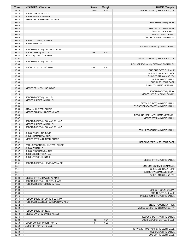| <b>Time</b>    | <b>VISITORS: Clemson</b>             | <b>Score</b> | <b>Margin</b>   | <b>HOME: Temple</b>                                    |
|----------------|--------------------------------------|--------------|-----------------|--------------------------------------------------------|
| 12:13          |                                      | 39-59        | V <sub>20</sub> | GOOD! LAYUP by STRICKLAND, TAI                         |
| 12:13          | SUB OUT: HONOR, NICK                 |              |                 |                                                        |
| 12:13          | SUB IN: DAWES, AL-AMIR               |              |                 |                                                        |
| 11:46          | MISSED 3PTR by DAWES, AL-AMIR        |              |                 |                                                        |
| 11:43          |                                      |              |                 | REBOUND (DEF) by TEAM                                  |
| 11:43<br>11:43 |                                      |              |                 |                                                        |
| 11:43          |                                      |              |                 | SUB OUT: TOLBERT, SAGE<br>SUB OUT: HICKS, ZACH         |
| 11:43          |                                      |              |                 | SUB IN: DUNN, DAMIAN                                   |
| 11:43          |                                      |              |                 | SUB IN: OKPOMO, EMMANUEL                               |
| 11:43          | SUB OUT: TYSON, HUNTER               |              |                 |                                                        |
| 11:43          | SUB IN: HALL, PJ                     |              |                 |                                                        |
| 11:29          |                                      |              |                 | MISSED JUMPER by DUNN, DAMIAN                          |
| 11:26          | REBOUND (DEF) by COLLINS, DAVID      |              |                 |                                                        |
| 11:14          | GOOD! DUNK by HALL, PJ               | 39-61        | V <sub>22</sub> |                                                        |
| 11:14          | ASSIST by DAWES, AL-AMIR             |              |                 |                                                        |
| 10:51          |                                      |              |                 | MISSED JUMPER by STRICKLAND, TAI                       |
| 10:48          | REBOUND (DEF) by HALL, PJ            |              |                 |                                                        |
| 10:36<br>10:36 | GOOD! FT by COLLINS, DAVID           | 39-62        | V <sub>23</sub> | FOUL (PERSONAL) by OKPOMO, EMMANUEL                    |
| 10:36          |                                      |              |                 | SUB OUT: BATTLE, KHALIF                                |
| 10:36          |                                      |              |                 | SUB OUT: JOURDAIN, NICK                                |
| 10:36          |                                      |              |                 | SUB OUT: STRICKLAND, TAI                               |
| 10:36          |                                      |              |                 | SUB IN: WHITE, JAHLIL                                  |
| 10:36          |                                      |              |                 | SUB IN: TOLBERT, SAGE                                  |
| 10:36          |                                      |              |                 | SUB IN: WILLIAMS, JEREMIAH                             |
| 10:36          | MISSED FT by COLLINS, DAVID          |              |                 |                                                        |
| 10:35          |                                      |              |                 | REBOUND (DEF) by TEAM                                  |
| 10:16          |                                      |              |                 | MISSED LAYUP by DUNN, DAMIAN                           |
| 10:13          | REBOUND (DEF) by HALL, PJ            |              |                 |                                                        |
| 10:06<br>10:03 | MISSED JUMPER by HALL, PJ            |              |                 | REBOUND (DEF) by WHITE, JAHLIL                         |
| 09:56          |                                      |              |                 | TURNOVER (BADPASS) by WHITE, JAHLIL                    |
| 09:56          | STEAL by HUNTER, CHASE               |              |                 |                                                        |
| 09:52          | MISSED DUNK by HUNTER, CHASE         |              |                 |                                                        |
| 09:49          |                                      |              |                 | REBOUND (DEF) by WILLIAMS, JEREMIAH                    |
| 09:47          |                                      |              |                 | MISSED 3PTR by WHITE, JAHLIL                           |
| 09:42          | REBOUND (DEF) by BOHANNON, NAZ       |              |                 |                                                        |
| 09:18          | MISSED JUMPER by HALL, PJ            |              |                 |                                                        |
| 09:16          | REBOUND (OFF) by BOHANNON, NAZ       |              |                 |                                                        |
| 09:16          |                                      |              |                 | FOUL (PERSONAL) by WHITE, JAHLIL                       |
| 09:16          | SUB OUT: COLLINS, DAVID              |              |                 |                                                        |
| 09:16<br>09:04 | SUB IN: HEMENWAY, ALEX               |              |                 |                                                        |
| 09:01          | MISSED 3PTR by HUNTER, CHASE         |              |                 | REBOUND (DEF) by TOLBERT, SAGE                         |
| 08:47          | FOUL (PERSONAL) by HUNTER, CHASE     |              |                 |                                                        |
| 08:47          | SUB OUT: HALL, PJ                    |              |                 |                                                        |
| 08:47          | SUB OUT: BOHANNON, NAZ               |              |                 |                                                        |
| 08:47          | SUB IN: SCHIEFFELIN, IAN             |              |                 |                                                        |
| 08:47          | SUB IN: TYSON, HUNTER                |              |                 |                                                        |
| 08:35          |                                      |              |                 | MISSED 3PTR by WHITE, JAHLIL                           |
| 08:31          | REBOUND (DEF) by HEMENWAY, ALEX      |              |                 |                                                        |
| 08:11          |                                      |              |                 | SUB OUT: OKPOMO, EMMANUEL                              |
| 08:11          |                                      |              |                 | SUB IN: JOURDAIN, NICK                                 |
| 08:11<br>08:11 |                                      |              |                 | SUB OUT: WILLIAMS, JEREMIAH<br>SUB IN: STRICKLAND, TAI |
| 08:03          | MISSED 3PTR by DAWES, AL-AMIR        |              |                 |                                                        |
| 07:58          | REBOUND (OFF) by HUNTER, CHASE       |              |                 |                                                        |
| 07:38          | TURNOVER (SHOTCLOCK) by TEAM         |              |                 |                                                        |
| 07:38          |                                      |              |                 |                                                        |
| 07:38          |                                      |              |                 | SUB OUT: DUNN, DAMIAN                                  |
| 07:38          |                                      |              |                 | SUB IN: BATTLE, KHALIF                                 |
| 07:15          |                                      |              |                 | MISSED JUMPER by WHITE, JAHLIL                         |
| 07:14          | REBOUND (DEF) by SCHIEFFELIN, IAN    |              |                 |                                                        |
| 06:52          | TURNOVER (BADPASS) by HEMENWAY, ALEX |              |                 |                                                        |
| 06:52          |                                      |              |                 | STEAL by JOURDAIN, NICK                                |
| 06:42<br>06:41 | REBOUND (DEF) by TEAM                |              |                 | MISSED JUMPER by STRICKLAND, TAI                       |
| 06:18          | MISSED LAYUP by DAWES, AL-AMIR       |              |                 |                                                        |
| 06:16          |                                      |              |                 | REBOUND (DEF) by WHITE, JAHLIL                         |
| 06:08          |                                      | 41-62        | V <sub>21</sub> | GOOD! LAYUP by BATTLE, KHALIF                          |
| 05:53          | GOOD! DUNK by TYSON, HUNTER          | 41-64        | V <sub>23</sub> |                                                        |
| 05:53          | ASSIST by HUNTER, CHASE              |              |                 |                                                        |
| 05:40          |                                      |              |                 | TURNOVER (BADPASS) by TOLBERT, SAGE                    |
| 05:40          |                                      |              |                 | SUB OUT: WHITE, JAHLIL                                 |
| 05:40          |                                      |              |                 | SUB OUT: TOLBERT, SAGE                                 |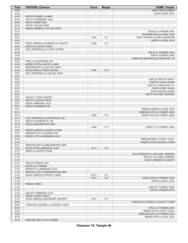| Time           | <b>VISITORS: Clemson</b>                                            | <b>Score</b>   | <b>Margin</b>                      | <b>HOME: Temple</b>                                               |
|----------------|---------------------------------------------------------------------|----------------|------------------------------------|-------------------------------------------------------------------|
| 05:40          |                                                                     |                |                                    | SUB IN: DUNN, DAMIAN                                              |
| 05:40          |                                                                     |                |                                    | SUB IN: HICKS, ZACH                                               |
| 05:40          | SUB OUT: DAWES, AL-AMIR                                             |                |                                    |                                                                   |
| 05:40          | SUB OUT: HEMENWAY, ALEX                                             |                |                                    |                                                                   |
| 05:40          | SUB IN: HONOR, NICK                                                 |                |                                    |                                                                   |
| 05:40          | SUB IN: COLLINS, DAVID                                              |                |                                    |                                                                   |
| 05:14          | MISSED JUMPER by COLLINS, DAVID                                     |                |                                    |                                                                   |
| 05:14          |                                                                     |                |                                    | BLOCK by JOURDAIN, NICK                                           |
| 05:10<br>05:07 |                                                                     | 43-64          | V <sub>21</sub>                    | REBOUND (DEF) by HICKS, ZACH<br>GOOD! JUMPER by DUNN, DAMIAN [FB] |
| 05:07          |                                                                     |                |                                    | ASSIST by HICKS, ZACH                                             |
| 04:45          | GOOD! JUMPER by SCHIEFFELIN, IAN [PNT]                              | 43-66          | V <sub>23</sub>                    |                                                                   |
| 04:45          | ASSIST by HUNTER, CHASE                                             |                |                                    |                                                                   |
| 04:30          | FOUL (PERSONAL) by TYSON, HUNTER                                    |                |                                    |                                                                   |
| 04:30          |                                                                     |                |                                    | SUB OUT: JOURDAIN, NICK                                           |
| 04:30          |                                                                     |                |                                    | SUB IN: TOLBERT, SAGE                                             |
| 04:25          |                                                                     |                |                                    | TURNOVER (BADPASS) by STRICKLAND, TAI                             |
| 04:25          | STEAL by SCHIEFFELIN, IAN                                           |                |                                    |                                                                   |
| 03:59          | MISSED 3PTR by HUNTER, CHASE                                        |                |                                    |                                                                   |
| 03:56          | REBOUND (OFF) by COLLINS, DAVID                                     |                |                                    |                                                                   |
| 03:40          | GOOD! DUNK by TYSON, HUNTER                                         | 43-68          | V <sub>25</sub>                    |                                                                   |
| 03:27          | FOUL (PERSONAL) by COLLINS, DAVID                                   |                |                                    |                                                                   |
| 03:27          |                                                                     |                |                                    |                                                                   |
| 03:27          |                                                                     |                |                                    | SUB OUT: BATTLE, KHALIF                                           |
| 03:27          |                                                                     |                |                                    | SUB OUT: DUNN, DAMIAN                                             |
| 03:27          |                                                                     |                |                                    | SUB OUT: STRICKLAND, TAI                                          |
| 03:27          |                                                                     |                |                                    | SUB IN: WHITE, JAHLIL                                             |
| 03:27          |                                                                     |                |                                    | SUB IN: MILLER, HYSIER                                            |
| 03:27          |                                                                     |                |                                    | SUB IN: WILLIAMS, JEREMIAH                                        |
| 03:27          | SUB OUT: TYSON, HUNTER                                              |                |                                    |                                                                   |
| 03:27          | SUB OUT: COLLINS, DAVID                                             |                |                                    |                                                                   |
| 03:27          | SUB IN: HEMENWAY, ALEX                                              |                |                                    |                                                                   |
| 03:27          | SUB IN: BOHANNON, NAZ                                               |                |                                    |                                                                   |
| 03:17          |                                                                     |                |                                    | MISSED JUMPER by HICKS, ZACH                                      |
| 03:14<br>03:14 |                                                                     | 45-68          | V <sub>23</sub>                    | REBOUND (OFF) by TOLBERT, SAGE<br>GOOD! LAYUP by TOLBERT, SAGE    |
| 03:14          | FOUL (PERSONAL) by SCHIEFFELIN, IAN                                 |                |                                    |                                                                   |
| 03:14          | SUB OUT: SCHIEFFELIN, IAN                                           |                |                                    |                                                                   |
| 03:14          | SUB IN: MIDDLEBROOKS, BEN                                           |                |                                    |                                                                   |
| 03:14          |                                                                     | 46-68          | V <sub>22</sub>                    | GOOD! FT by TOLBERT, SAGE                                         |
| 03:00          | MISSED JUMPER by HUNTER, CHASE                                      |                |                                    |                                                                   |
| 02:57          | REBOUND (OFF) by HONOR, NICK                                        |                |                                    |                                                                   |
| 02:39          | MISSED 3PTR by HEMENWAY, ALEX                                       |                |                                    |                                                                   |
| 02:36          |                                                                     |                |                                    | REBOUND (DEF) by WHITE, JAHLIL                                    |
| 02:24          |                                                                     |                |                                    | MISSED LAYUP by MILLER, HYSIER                                    |
| 02:21          | REBOUND (DEF) by MIDDLEBROOKS, BEN                                  |                |                                    |                                                                   |
| 01:57          | GOOD! 3PTR by HEMENWAY, ALEX                                        | 46-71          | V <sub>25</sub>                    |                                                                   |
| 01:57          | ASSIST by HUNTER, CHASE                                             |                |                                    |                                                                   |
| 01:57          |                                                                     |                |                                    | FOUL (PERSONAL) by WILLIAMS, JEREMIAH                             |
| 01:57          |                                                                     |                |                                    | SUB OUT: WILLIAMS, JEREMIAH                                       |
| 01:57          |                                                                     |                |                                    | SUB IN: ADEMOKOYA, QUINCY                                         |
| 01:57          | SUB OUT: HONOR, NICK                                                |                |                                    |                                                                   |
| 01:57          | SUB IN: FOX, PARKER                                                 |                |                                    |                                                                   |
| 01:56          | MISSED FT by HEMENWAY, ALEX                                         |                |                                    |                                                                   |
| 01:55          | REBOUND (OFF) by MIDDLEBROOKS, BEN<br>GOOD! JUMPER by HUNTER, CHASE |                |                                    |                                                                   |
| 01:43<br>01:28 |                                                                     | 46-73<br>48-73 | V <sub>27</sub><br>V <sub>25</sub> |                                                                   |
| 01:28          |                                                                     |                |                                    | GOOD! DUNK by TOLBERT, SAGE<br>ASSIST by HICKS, ZACH              |
| 01:24          | TIMEOUT 30SEC                                                       |                |                                    |                                                                   |
| 01:24          |                                                                     |                |                                    | SUB OUT: TOLBERT, SAGE                                            |
| 01:24          |                                                                     |                |                                    | SUB IN: JOURDAIN, NICK                                            |
| 01:24          | SUB OUT: HEMENWAY, ALEX                                             |                |                                    |                                                                   |
| 01:24          | SUB IN: FOSTER, DEVIN                                               |                |                                    |                                                                   |
| 01:03          | GOOD! JUMPER by BOHANNON, NAZ [PNT]                                 | 48-75          | V <sub>27</sub>                    |                                                                   |
| 00:55          |                                                                     |                |                                    | TURNOVER (LOSTBALL) by MILLER, HYSIER                             |
| 00:43          | TURNOVER (LOSTBALL) by HUNTER, CHASE                                |                |                                    |                                                                   |
| 00:43          |                                                                     |                |                                    | STEAL by JOURDAIN, NICK                                           |
| 00:23          |                                                                     |                |                                    | MISSED 3PTR by WHITE, JAHLIL                                      |
| 00:20          |                                                                     |                |                                    | REBOUND (OFF) by JOURDAIN, NICK                                   |
| 00:18          |                                                                     |                |                                    | MISSED 3PTR by HICKS, ZACH                                        |
| 00:15          | REBOUND (DEF) by FOX, PARKER                                        |                |                                    |                                                                   |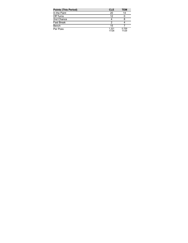| <b>Points (This Period)</b> | <b>CLE</b>     | TEM            |
|-----------------------------|----------------|----------------|
| In the Paint                | 20             | 14             |
| Off Turns                   | 12             |                |
| 2nd Chance                  |                |                |
| <b>Fast Break</b>           |                |                |
| Bench                       | 15             |                |
| Per Poss                    | 1.321<br>17/28 | 0.759<br>11/29 |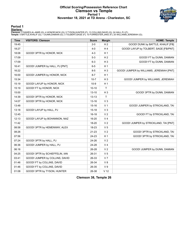# **Official Scoring/Possession Reference Chart Clemson vs Temple Period 1 November 18, 2021 at TD Arena - Charleston, SC**



# **Period 1**

<mark>Starters:</mark><br>Clemson: 2 DAWES,AL-AMIR (G); 4 HONOR,NICK (G); 5 TYSON,HUNTER (F); 13 COLLINS,DAVID (G); 24 HALL,PJ (F);<br>Temple: 0 BATTLE,KHALIF (G); 1 DUNN,DAMIAN (G); 3 TOLBERT,SAGE (F); 10 FORRESTER,JAKE (F); 25 WILLIAMS,J

| <b>Time</b> | <b>VISITORS: Clemson</b>       | <b>Score</b> | <b>Margin</b>   | <b>HOME: Temple</b>                      |
|-------------|--------------------------------|--------------|-----------------|------------------------------------------|
| 19:45       |                                | $2 - 0$      | H <sub>2</sub>  | GOOD! DUNK by BATTLE, KHALIF [FB]        |
| 18:27       |                                | $4 - 0$      | H <sub>4</sub>  | GOOD! LAYUP by TOLBERT, SAGE [FB/PNT]    |
| 18:08       | GOOD! 3PTR by HONOR, NICK      | $4 - 3$      | H <sub>1</sub>  |                                          |
| 17:09       |                                | $5 - 3$      | H <sub>2</sub>  | GOOD! FT by DUNN, DAMIAN                 |
| 17:09       |                                | $6 - 3$      | $H_3$           | GOOD! FT by DUNN, DAMIAN                 |
| 16:41       | GOOD! JUMPER by HALL, PJ [PNT] | $6-5$        | H <sub>1</sub>  |                                          |
| 16:22       |                                | $8 - 5$      | $H_3$           | GOOD! JUMPER by WILLIAMS, JEREMIAH [PNT] |
| 16:00       | GOOD! JUMPER by HONOR, NICK    | $8 - 7$      | H <sub>1</sub>  |                                          |
| 15:34       |                                | $10 - 7$     | $H_3$           | GOOD! JUMPER by WILLIAMS, JEREMIAH       |
| 15:19       | GOOD! LAYUP by HONOR, NICK     | $10-9$       | H <sub>1</sub>  |                                          |
| 15:19       | GOOD! FT by HONOR, NICK        | $10 - 10$    | $\top$          |                                          |
| 15:00       |                                | $13 - 10$    | $H_3$           | GOOD! 3PTR by DUNN, DAMIAN               |
| 14:39       | GOOD! 3PTR by HONOR, NICK      | $13 - 13$    | $\mathsf T$     |                                          |
| 14:07       | GOOD! 3PTR by HONOR, NICK      | 13-16        | $V_3$           |                                          |
| 13:48       |                                | $15 - 16$    | V <sub>1</sub>  | GOOD! JUMPER by STRICKLAND, TAI          |
| 13:18       | GOOD! LAYUP by HALL, PJ        | $15 - 18$    | $V_3$           |                                          |
| 12:45       |                                | 16-18        | V <sub>2</sub>  | GOOD! FT by STRICKLAND, TAI              |
| 12:13       | GOOD! LAYUP by BOHANNON, NAZ   | 16-20        | V <sub>4</sub>  |                                          |
| 11:42       |                                | 18-20        | V <sub>2</sub>  | GOOD! JUMPER by STRICKLAND, TAI [PNT]    |
| 08:58       | GOOD! 3PTR by HEMENWAY, ALEX   | 18-23        | V <sub>5</sub>  |                                          |
| 08:26       |                                | 21-23        | V <sub>2</sub>  | GOOD! 3PTR by STRICKLAND, TAI            |
| 07:56       |                                | 24-23        | H <sub>1</sub>  | GOOD! 3PTR by STRICKLAND, TAI            |
| 07:24       | GOOD! 3PTR by HALL, PJ         | 24-26        | V <sub>2</sub>  |                                          |
| 06:36       | GOOD! JUMPER by HALL, PJ       | 24-28        | V <sub>4</sub>  |                                          |
| 06:16       |                                | 26-28        | V <sub>2</sub>  | GOOD! JUMPER by DUNN, DAMIAN             |
| 04:25       | GOOD! 3PTR by SCHIEFFELIN, IAN | 26-31        | V <sub>5</sub>  |                                          |
| 03:41       | GOOD! JUMPER by COLLINS, DAVID | 26-33        | V <sub>7</sub>  |                                          |
| 01:46       | GOOD! FT by COLLINS, DAVID     | 26-34        | V8              |                                          |
| 01:46       | GOOD! FT by COLLINS, DAVID     | 26-35        | V <sub>9</sub>  |                                          |
| 01:08       | GOOD! 3PTR by TYSON, HUNTER    | 26-38        | V <sub>12</sub> |                                          |

**Clemson 38, Temple 26**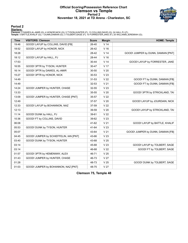# **Official Scoring/Possession Reference Chart Clemson vs Temple Period 2 November 18, 2021 at TD Arena - Charleston, SC**



# **Period 2**

<mark>Starters:</mark><br>Clemson: 2 DAWES,AL-AMIR (G); 4 HONOR,NICK (G); 5 TYSON,HUNTER (F); 13 COLLINS,DAVID (G); 24 HALL,PJ (F);<br>Temple: 0 BATTLE,KHALIF (G); 1 DUNN,DAMIAN (G); 3 TOLBERT,SAGE (F); 10 FORRESTER,JAKE (F); 25 WILLIAMS,J

| <b>Time</b> | <b>VISITORS: Clemson</b>               | <b>Score</b> | <b>Margin</b>   | <b>HOME: Temple</b>                |
|-------------|----------------------------------------|--------------|-----------------|------------------------------------|
| 19:46       | GOOD! LAYUP by COLLINS, DAVID [FB]     | 26-40        | V <sub>14</sub> |                                    |
| 18:52       | GOOD! LAYUP by HONOR, NICK             | 26-42        | V <sub>16</sub> |                                    |
| 18:28       |                                        | 28-42        | V <sub>14</sub> | GOOD! JUMPER by DUNN, DAMIAN [PNT] |
| 18:12       | GOOD! LAYUP by HALL, PJ                | 28-44        | V <sub>16</sub> |                                    |
| 17:53       |                                        | 30-44        | V <sub>14</sub> | GOOD! LAYUP by FORRESTER, JAKE     |
| 16:55       | GOOD! 3PTR by TYSON, HUNTER            | 30-47        | V 17            |                                    |
| 16:14       | GOOD! 3PTR by DAWES, AL-AMIR           | $30 - 50$    | V <sub>20</sub> |                                    |
| 15:27       | GOOD! 3PTR by HONOR, NICK              | $30 - 53$    | V <sub>23</sub> |                                    |
| 14:49       |                                        | $31 - 53$    | V <sub>22</sub> | GOOD! FT by DUNN, DAMIAN [FB]      |
| 14:49       |                                        | 32-53        | V <sub>21</sub> | GOOD! FT by DUNN, DAMIAN [FB]      |
| 14:24       | GOOD! JUMPER by HUNTER, CHASE          | 32-55        | V <sub>23</sub> |                                    |
| 13:33       |                                        | 35-55        | V <sub>20</sub> | GOOD! 3PTR by STRICKLAND, TAI      |
| 13:09       | GOOD! JUMPER by HUNTER, CHASE [PNT]    | 35-57        | V <sub>22</sub> |                                    |
| 12:49       |                                        | 37-57        | V <sub>20</sub> | GOOD! LAYUP by JOURDAIN, NICK      |
| 12:33       | GOOD! LAYUP by BOHANNON, NAZ           | 37-59        | V <sub>22</sub> |                                    |
| 12:13       |                                        | 39-59        | V <sub>20</sub> | GOOD! LAYUP by STRICKLAND, TAI     |
| 11:14       | GOOD! DUNK by HALL, PJ                 | 39-61        | V <sub>22</sub> |                                    |
| 10:36       | GOOD! FT by COLLINS, DAVID             | 39-62        | V <sub>23</sub> |                                    |
| 06:08       |                                        | 41-62        | V <sub>21</sub> | GOOD! LAYUP by BATTLE, KHALIF      |
| 05:53       | GOOD! DUNK by TYSON, HUNTER            | 41-64        | V <sub>23</sub> |                                    |
| 05:07       |                                        | 43-64        | V <sub>21</sub> | GOOD! JUMPER by DUNN, DAMIAN [FB]  |
| 04:45       | GOOD! JUMPER by SCHIEFFELIN, IAN [PNT] | 43-66        | V <sub>23</sub> |                                    |
| 03:40       | GOOD! DUNK by TYSON, HUNTER            | 43-68        | V <sub>25</sub> |                                    |
| 03:14       |                                        | 45-68        | V <sub>23</sub> | GOOD! LAYUP by TOLBERT, SAGE       |
| 03:14       |                                        | 46-68        | V <sub>22</sub> | GOOD! FT by TOLBERT, SAGE          |
| 01:57       | GOOD! 3PTR by HEMENWAY, ALEX           | 46-71        | V <sub>25</sub> |                                    |
| 01:43       | GOOD! JUMPER by HUNTER, CHASE          | 46-73        | V <sub>27</sub> |                                    |
| 01:28       |                                        | 48-73        | V <sub>25</sub> | GOOD! DUNK by TOLBERT, SAGE        |
| 01:03       | GOOD! JUMPER by BOHANNON, NAZ [PNT]    | 48-75        | V <sub>27</sub> |                                    |

**Clemson 75, Temple 48**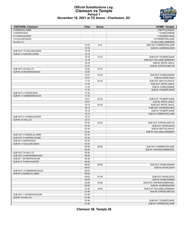

#### **Official Substitutions Log Clemson vs Temple Period 1 November 18, 2021 at TD Arena - Charleston, SC**

| <b>VISITORS: Clemson</b>    | <b>Time</b>    | <b>Score</b> | <b>HOME: Temple</b>         |
|-----------------------------|----------------|--------------|-----------------------------|
| 2 DAWES.AL-AMIR             |                |              | 0 BATTLE, KHALIF            |
| 4 HONOR, NICK               |                |              | 1 DUNN, DAMIAN              |
| 5 TYSON, HUNTER             |                |              | 3 TOLBERT, SAGE             |
| 13 COLLINS, DAVID           |                |              | 10 FORRESTER, JAKE          |
| 24 HALL, PJ                 |                |              | 25 WILLIAMS, JEREMIAH       |
|                             | 15:19          | $9 - 10$     | SUB OUT: FORRESTER, JAKE    |
|                             | 15:19          |              | SUB IN: JOURDAIN, NICK      |
| SUB OUT: 13 COLLINS, DAVID  | 15:19          |              |                             |
| SUB IN: 3 HUNTER, CHASE     | 15:19          |              |                             |
|                             | 14:19          | $13 - 13$    | SUB OUT: TOLBERT, SAGE      |
|                             | 14:19          |              | SUB OUT: WILLIAMS, JEREMIAH |
|                             | 14:19          |              | SUB IN: WHITE, JAHLIL       |
|                             | 14:19          |              | SUB IN: STRICKLAND, TAI     |
| SUB OUT: 24 HALL, PJ        | 12:45          | 18-15        |                             |
| SUB IN: 33 BOHANNON, NAZ    | 12:45          |              |                             |
|                             | 12:31          | 18-16        | SUB OUT: DUNN, DAMIAN       |
|                             | 12:31          |              | SUB IN: HICKS, ZACH         |
|                             | 11:18          | $20 - 18$    | SUB OUT: BATTLE, KHALIF     |
|                             | 11:18          |              | SUB OUT: WHITE, JAHLIL      |
|                             | 11:18          |              | SUB IN: DUNN, DAMIAN        |
|                             | 11:18          |              | SUB IN: TOLBERT, SAGE       |
| SUB OUT: 4 HONOR, NICK      | 11:18          |              |                             |
| SUB IN: 12 HEMENWAY.ALEX    | 11:18          |              |                             |
|                             | 10:41          | $20 - 18$    | SUB OUT: TOLBERT, SAGE      |
|                             | 10:41          |              | SUB IN: WHITE, JAHLIL       |
|                             | 10:13          | $20 - 18$    | SUB OUT: WHITE, JAHLIL      |
|                             | 10:13          |              | SUB OUT: JOURDAIN, NICK     |
|                             | 10:13          |              | SUB IN: TOLBERT, SAGE       |
|                             | 10:13          |              | SUB IN: FORRESTER, JAKE     |
| SUB OUT: 5 TYSON, HUNTER    | 10:13          |              |                             |
| SUB IN: 24 HALL, PJ         | 10:13          |              |                             |
|                             | 07:34          | 23-24        | SUB OUT: STRICKLAND, TAI    |
|                             | 07:34          |              | SUB OUT: HICKS, ZACH        |
|                             | 07:34          |              | SUB IN: BATTLE, KHALIF      |
|                             | 07:34          |              | SUB IN: WILLIAMS, JEREMIAH  |
| SUB OUT: 2 DAWES, AL-AMIR   | 07:34          |              |                             |
| SUB OUT: 3 HUNTER, CHASE    | 07:34          |              |                             |
| SUB IN: 4 HONOR, NICK       | 07:34          |              |                             |
| SUB IN: 13 COLLINS, DAVID   | 07:34          |              |                             |
|                             | 05:38          | 28-26        | SUB OUT: FORRESTER, JAKE    |
|                             | 05:38          |              | SUB IN: OKPOMO, EMMANUEL    |
| SUB OUT: 24 HALL, PJ        | 05:38          |              |                             |
| SUB OUT: 33 BOHANNON, NAZ   | 05:38          |              |                             |
| SUB IN: 1 SCHIEFFELIN, IAN  | 05:38          |              |                             |
| SUB IN: 5 TYSON, HUNTER     | 05:38          |              |                             |
|                             | 05:03          | 28-26        | SUB OUT: DUNN, DAMIAN       |
|                             | 05:03          |              | SUB IN: HICKS, ZACH         |
| SUB OUT: 12 HEMENWAY, ALEX  | 05:03          |              |                             |
| SUB IN: 2 DAWES, AL-AMIR    | 05:03          |              |                             |
|                             | 04:03          | 31-26        | SUB OUT: HICKS, ZACH        |
|                             | 04:03          |              | SUB IN: DUNN, DAMIAN        |
|                             | 03:08          | 33-26        | SUB OUT: OKPOMO, EMMANUEL   |
|                             | 03:08          |              | SUB IN: JOURDAIN, NICK      |
|                             | 01:46          | 33-26        | SUB OUT: WILLIAMS, JEREMIAH |
|                             |                |              |                             |
|                             | 01:46          |              | SUB IN: STRICKLAND, TAI     |
| SUB OUT: 1 SCHIEFFELIN, IAN | 01:46          |              |                             |
| SUB IN: 24 HALL, PJ         | 01:46<br>01:46 |              |                             |
|                             |                |              | SUB OUT: TOLBERT, SAGE      |
|                             | 01:46          |              | SUB IN: FORRESTER, JAKE     |

**Clemson 38, Temple 26**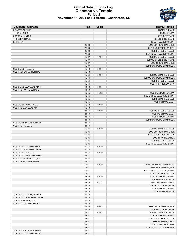

#### **Official Substitutions Log Clemson vs Temple Period 2 November 18, 2021 at TD Arena - Charleston, SC**

| <b>VISITORS: Clemson</b>                             | Time           | <b>Score</b>   | <b>HOME: Temple</b>                            |
|------------------------------------------------------|----------------|----------------|------------------------------------------------|
| 2 DAWES, AL-AMIR                                     |                |                | 0 BATTLE, KHALIF                               |
| 4 HONOR, NICK                                        |                |                | 1 DUNN, DAMIAN                                 |
| 5 TYSON, HUNTER                                      |                |                | 3 TOLBERT, SAGE                                |
| 13 COLLINS, DAVID                                    |                |                | 10 FORRESTER, JAKE<br>25 WILLIAMS, JEREMIAH    |
| 24 HALL, PJ                                          | 20:00          | $\overline{a}$ | SUB OUT: JOURDAIN, NICK                        |
|                                                      | 20:00          |                | SUB OUT: STRICKLAND, TAI                       |
|                                                      | 20:00          |                | SUB IN: TOLBERT, SAGE                          |
|                                                      | 20:00          |                | SUB IN: WILLIAMS, JEREMIAH                     |
|                                                      | 16:37          | 47-30          | SUB OUT: TOLBERT, SAGE                         |
|                                                      | 16:37          |                | SUB OUT: FORRESTER, JAKE                       |
|                                                      | 16:37          |                | SUB IN: JOURDAIN, NICK                         |
|                                                      | 16:37          |                | SUB IN: OKPOMO, EMMANUEL                       |
| SUB OUT: 24 HALL, PJ                                 | 16:10          | 50-30          |                                                |
| SUB IN: 33 BOHANNON, NAZ                             | 16:10          |                |                                                |
|                                                      | 15:54          | 50-30          | SUB OUT: BATTLE, KHALIF                        |
|                                                      | 15:54          |                | SUB OUT: OKPOMO, EMMANUEL                      |
|                                                      | 15:54          |                | SUB IN: TOLBERT, SAGE                          |
|                                                      | 15:54          |                | SUB IN: STRICKLAND, TAI                        |
| SUB OUT: 2 DAWES, AL-AMIR<br>SUB IN: 3 HUNTER, CHASE | 14:49<br>14:49 | 53-31          |                                                |
|                                                      | 13:55          | 55-32          | SUB OUT: DUNN, DAMIAN                          |
|                                                      | 13:55          |                | SUB OUT: WILLIAMS, JEREMIAH                    |
|                                                      | 13:55          |                | SUB IN: BATTLE, KHALIF                         |
|                                                      | 13:55          |                | SUB IN: HICKS, ZACH                            |
| SUB OUT: 4 HONOR, NICK                               | 12:13          | 59-39          |                                                |
| SUB IN: 2 DAWES, AL-AMIR                             | 12:13          |                |                                                |
|                                                      | 11:43          | 59-39          | SUB OUT: TOLBERT, SAGE                         |
|                                                      | 11:43          |                | SUB OUT: HICKS, ZACH                           |
|                                                      | 11:43          |                | SUB IN: DUNN, DAMIAN                           |
|                                                      | 11:43          |                | SUB IN: OKPOMO, EMMANUEL                       |
| SUB OUT: 5 TYSON, HUNTER                             | 11:43          |                |                                                |
| SUB IN: 24 HALL, PJ                                  | 11:43          |                |                                                |
|                                                      | 10:36          | 62-39          | SUB OUT: BATTLE, KHALIF                        |
|                                                      | 10:36          |                | SUB OUT: JOURDAIN, NICK                        |
|                                                      | 10:36          |                | SUB OUT: STRICKLAND, TAI                       |
|                                                      | 10:36<br>10:36 |                | SUB IN: WHITE, JAHLIL<br>SUB IN: TOLBERT, SAGE |
|                                                      | 10:36          |                | SUB IN: WILLIAMS, JEREMIAH                     |
| SUB OUT: 13 COLLINS, DAVID                           | 09:16          | 62-39          |                                                |
| SUB IN: 12 HEMENWAY, ALEX                            | 09:16          |                |                                                |
| SUB OUT: 24 HALL, PJ                                 | 08:47          | 62-39          |                                                |
| SUB OUT: 33 BOHANNON, NAZ                            | 08:47          |                |                                                |
| SUB IN: 1 SCHIEFFELIN, IAN                           | 08:47          |                |                                                |
| SUB IN: 5 TYSON.HUNTER                               | 08:47          |                |                                                |
|                                                      | 08:11          | 62-39          | SUB OUT: OKPOMO, EMMANUEL                      |
|                                                      | 08:11          |                | SUB IN: JOURDAIN, NICK                         |
|                                                      | 08:11          |                | SUB OUT: WILLIAMS, JEREMIAH                    |
|                                                      | 08:11          |                | SUB IN: STRICKLAND, TAI                        |
|                                                      | 07:38          | 62-39          | SUB OUT: DUNN, DAMIAN                          |
|                                                      | 07:38          |                | SUB IN: BATTLE, KHALIF                         |
|                                                      | 05:40          | 64-41          | SUB OUT: WHITE, JAHLIL                         |
|                                                      | 05:40          |                | SUB OUT: TOLBERT, SAGE                         |
|                                                      | 05:40<br>05:40 |                | SUB IN: DUNN, DAMIAN<br>SUB IN: HICKS, ZACH    |
| SUB OUT: 2 DAWES, AL-AMIR                            | 05:40          |                |                                                |
| SUB OUT: 12 HEMENWAY, ALEX                           | 05:40          |                |                                                |
| SUB IN: 4 HONOR, NICK                                | 05:40          |                |                                                |
| SUB IN: 13 COLLINS, DAVID                            | 05:40          |                |                                                |
|                                                      | 04:30          | 66-43          | SUB OUT: JOURDAIN, NICK                        |
|                                                      | 04:30          |                | SUB IN: TOLBERT, SAGE                          |
|                                                      | 03:27          | 68-43          | SUB OUT: BATTLE, KHALIF                        |
|                                                      | 03:27          |                | SUB OUT: DUNN, DAMIAN                          |
|                                                      | 03:27          |                | SUB OUT: STRICKLAND, TAI                       |
|                                                      | 03:27          |                | SUB IN: WHITE, JAHLIL                          |
|                                                      | 03:27          |                | SUB IN: MILLER, HYSIER                         |
|                                                      | 03:27          |                | SUB IN: WILLIAMS, JEREMIAH                     |
| SUB OUT: 5 TYSON, HUNTER                             | 03:27          |                |                                                |
| SUB OUT: 13 COLLINS, DAVID                           | 03:27          |                |                                                |